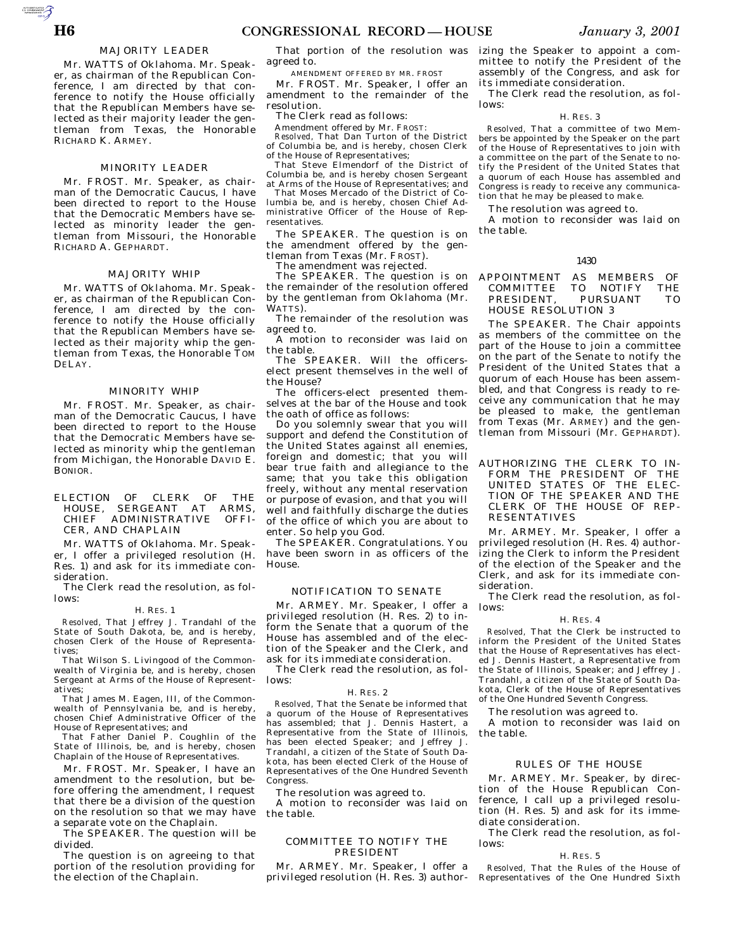AUTOROTOMICALE

# MAJORITY LEADER

Mr. WATTS of Oklahoma. Mr. Speaker, as chairman of the Republican Conference, I am directed by that conference to notify the House officially that the Republican Members have selected as their majority leader the gentleman from Texas, the Honorable RICHARD K. ARMEY.

### MINORITY LEADER

Mr. FROST. Mr. Speaker, as chairman of the Democratic Caucus, I have been directed to report to the House that the Democratic Members have selected as minority leader the gentleman from Missouri, the Honorable RICHARD A. GEPHARDT.

# MAJORITY WHIP

Mr. WATTS of Oklahoma. Mr. Speaker, as chairman of the Republican Conference, I am directed by the conference to notify the House officially that the Republican Members have selected as their majority whip the gentleman from Texas, the Honorable TOM DELAY.

### MINORITY WHIP

Mr. FROST. Mr. Speaker, as chairman of the Democratic Caucus, I have been directed to report to the House that the Democratic Members have selected as minority whip the gentleman from Michigan, the Honorable DAVID E. BONIOR.

# ELECTION OF CLERK OF THE HOUSE, SERGEANT AT ARMS, CHIEF ADMINISTRATIVE OFFI-CER, AND CHAPLAIN

Mr. WATTS of Oklahoma. Mr. Speaker, I offer a privileged resolution (H. Res. 1) and ask for its immediate consideration.

The Clerk read the resolution, as follows:

#### H. RES. 1

*Resolved,* That Jeffrey J. Trandahl of the State of South Dakota, be, and is hereby, chosen Clerk of the House of Representatives;

That Wilson S. Livingood of the Commonwealth of Virginia be, and is hereby, chosen Sergeant at Arms of the House of Representatives;

That James M. Eagen, III, of the Commonwealth of Pennsylvania be, and is hereby, chosen Chief Administrative Officer of the House of Representatives; and

That Father Daniel P. Coughlin of the State of Illinois, be, and is hereby, chosen Chaplain of the House of Representatives.

Mr. FROST. Mr. Speaker, I have an amendment to the resolution, but before offering the amendment, I request that there be a division of the question on the resolution so that we may have a separate vote on the Chaplain.

The SPEAKER. The question will be divided.

The question is on agreeing to that portion of the resolution providing for the election of the Chaplain.

That portion of the resolution was agreed to.

AMENDMENT OFFERED BY MR. FROST

Mr. FROST. Mr. Speaker, I offer an amendment to the remainder of the resolution.

The Clerk read as follows:

Amendment offered by Mr. FROST:

*Resolved,* That Dan Turton of the District of Columbia be, and is hereby, chosen Clerk of the House of Representatives;

That Steve Elmendorf of the District of Columbia be, and is hereby chosen Sergeant at Arms of the House of Representatives; and

That Moses Mercado of the District of Columbia be, and is hereby, chosen Chief Administrative Officer of the House of Representatives.

The SPEAKER. The question is on the amendment offered by the gentleman from Texas (Mr. FROST).

The amendment was rejected.

The SPEAKER. The question is on the remainder of the resolution offered by the gentleman from Oklahoma (Mr. WATTS).

The remainder of the resolution was agreed to.

A motion to reconsider was laid on the table.

The SPEAKER. Will the officerselect present themselves in the well of the House?

The officers-elect presented themselves at the bar of the House and took the oath of office as follows:

Do you solemnly swear that you will support and defend the Constitution of the United States against all enemies, foreign and domestic; that you will bear true faith and allegiance to the same; that you take this obligation freely, without any mental reservation or purpose of evasion, and that you will well and faithfully discharge the duties of the office of which you are about to enter. So help you God.

The SPEAKER. Congratulations. You have been sworn in as officers of the House.

# NOTIFICATION TO SENATE

Mr. ARMEY. Mr. Speaker, I offer a privileged resolution (H. Res. 2) to inform the Senate that a quorum of the House has assembled and of the election of the Speaker and the Clerk, and ask for its immediate consideration.

The Clerk read the resolution, as follows:

### H. RES. 2

*Resolved,* That the Senate be informed that a quorum of the House of Representatives has assembled; that J. Dennis Hastert, a Representative from the State of Illinois, has been elected Speaker; and Jeffrey J. Trandahl, a citizen of the State of South Dakota, has been elected Clerk of the House of Representatives of the One Hundred Seventh Congress.

The resolution was agreed to.

A motion to reconsider was laid on the table.

## COMMITTEE TO NOTIFY THE PRESIDENT

Mr. ARMEY. Mr. Speaker, I offer a privileged resolution (H. Res. 3) author-

izing the Speaker to appoint a committee to notify the President of the assembly of the Congress, and ask for its immediate consideration.

The Clerk read the resolution, as follows:

# H. RES. 3

*Resolved,* That a committee of two Members be appointed by the Speaker on the part of the House of Representatives to join with a committee on the part of the Senate to notify the President of the United States that a quorum of each House has assembled and Congress is ready to receive any communication that he may be pleased to make.

The resolution was agreed to.

A motion to reconsider was laid on the table.

#### 1430

APPOINTMENT AS MEMBERS OF COMMITTEE TO NOTIFY THE COMMITTEE TO NOTIFY THE PRESIDENT, PURSUANT TO HOUSE RESOLUTION 3

The SPEAKER. The Chair appoints as members of the committee on the part of the House to join a committee on the part of the Senate to notify the President of the United States that a quorum of each House has been assembled, and that Congress is ready to receive any communication that he may be pleased to make, the gentleman from Texas (Mr. ARMEY) and the gentleman from Missouri (Mr. GEPHARDT).

AUTHORIZING THE CLERK TO IN-FORM THE PRESIDENT OF THE UNITED STATES OF THE ELEC-TION OF THE SPEAKER AND THE CLERK OF THE HOUSE OF REP-RESENTATIVES

Mr. ARMEY. Mr. Speaker, I offer a privileged resolution (H. Res. 4) authorizing the Clerk to inform the President of the election of the Speaker and the Clerk, and ask for its immediate consideration.

The Clerk read the resolution, as follows:

#### H. RES. 4

*Resolved,* That the Clerk be instructed to inform the President of the United States that the House of Representatives has elected J. Dennis Hastert, a Representative from the State of Illinois, Speaker; and Jeffrey J. Trandahl, a citizen of the State of South Dakota, Clerk of the House of Representatives of the One Hundred Seventh Congress.

The resolution was agreed to.

A motion to reconsider was laid on the table.

# RULES OF THE HOUSE

Mr. ARMEY. Mr. Speaker, by direction of the House Republican Conference, I call up a privileged resolution (H. Res. 5) and ask for its immediate consideration.

The Clerk read the resolution, as follows:

#### H. RES. 5

*Resolved,* That the Rules of the House of Representatives of the One Hundred Sixth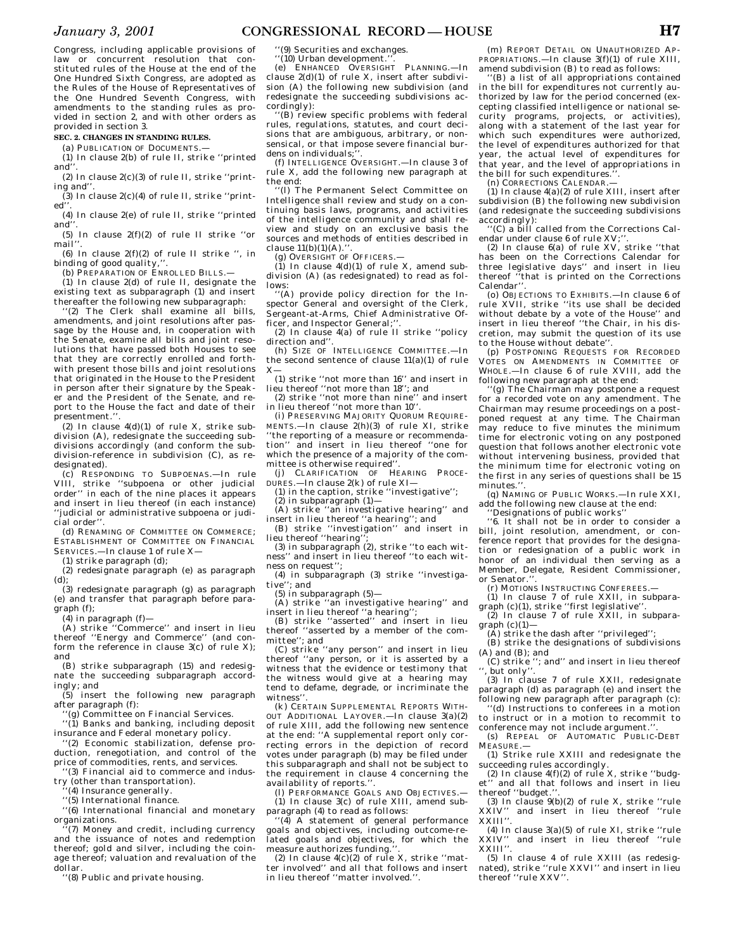*January 3, 2001* **CONGRESSIONAL RECORD — HOUSE H7**

Congress, including applicable provisions of law or concurrent resolution that constituted rules of the House at the end of the One Hundred Sixth Congress, are adopted as the Rules of the House of Representatives of the One Hundred Seventh Congress, with amendments to the standing rules as provided in section 2, and with other orders as provided in section 3.

**SEC. 2. CHANGES IN STANDING RULES.**

(a) PUBLICATION OF DOCUMENTS.—

(1) In clause 2(b) of rule II, strike ''printed and

(2) In clause 2(c)(3) of rule II, strike ''printing and''.

 $(3)$  In clause  $2(c)(4)$  of rule II, strike "printed''.

(4) In clause 2(e) of rule II, strike ''printed and

(5) In clause 2(f)(2) of rule II strike ''or mail'

(6) In clause  $2(f)(2)$  of rule II strike ", in binding of good quality,"

(b) PREPARATION OF ENROLLED BILLS.—

 $(1)$  In clause 2(d) of rule II, designate the existing text as subparagraph (1) and insert thereafter the following new subparagraph:

''(2) The Clerk shall examine all bills, amendments, and joint resolutions after passage by the House and, in cooperation with the Senate, examine all bills and joint resolutions that have passed both Houses to see that they are correctly enrolled and forthwith present those bills and joint resolutions that originated in the House to the President in person after their signature by the Speaker and the President of the Senate, and report to the House the fact and date of their presentment."

(2) In clause  $4(d)(1)$  of rule X, strike subdivision (A), redesignate the succeeding subdivisions accordingly (and conform the subdivision-reference in subdivision (C), as redesignated).

(c) RESPONDING TO SUBPOENAS.—In rule VIII, strike ''subpoena or other judicial order'' in each of the nine places it appears and insert in lieu thereof (in each instance) 'judicial or administrative subpoena or judicial order''.

(d) RENAMING OF COMMITTEE ON COMMERCE; ESTABLISHMENT OF COMMITTEE ON FINANCIAL SERVICES.—In clause 1 of rule X—

(1) strike paragraph (d);

(2) redesignate paragraph (e) as paragraph (d);

(3) redesignate paragraph (g) as paragraph (e) and transfer that paragraph before paragraph (f);

(4) in paragraph  $(f)$ —

(A) strike ''Commerce'' and insert in lieu thereof ''Energy and Commerce'' (and conform the reference in clause  $3(c)$  of rule X); and

(B) strike subparagraph (15) and redesignate the succeeding subparagraph accordingly; and

(5) insert the following new paragraph after paragraph (f):

'(g) Committee on Financial Services.

''(1) Banks and banking, including deposit insurance and Federal monetary policy.

''(2) Economic stabilization, defense production, renegotiation, and control of the

price of commodities, rents, and services. ''(3) Financial aid to commerce and indus-

try (other than transportation).

(4) Insurance generally.

''(5) International finance.

''(6) International financial and monetary organizations.

(7) Money and credit, including currency and the issuance of notes and redemption thereof; gold and silver, including the coinage thereof; valuation and revaluation of the dollar.

''(8) Public and private housing.

(9) Securities and exchanges.

 $''(10)$  Urban development.

(e) ENHANCED OVERSIGHT PLANNING.—In clause 2(d)(1) of rule X, insert after subdivision (A) the following new subdivision (and redesignate the succeeding subdivisions accordingly):

''(B) review specific problems with federal rules, regulations, statutes, and court decisions that are ambiguous, arbitrary, or nonsensical, or that impose severe financial burdens on individuals;''. (f) INTELLIGENCE OVERSIGHT.—In clause 3 of

rule X, add the following new paragraph at the end:

''(l) The Permanent Select Committee on Intelligence shall review and study on a continuing basis laws, programs, and activities of the intelligence community and shall review and study on an exclusive basis the sources and methods of entities described in  $clause 11(b)(1)(A)$ 

(g) OVERSIGHT OF OFFICERS.— (1) In clause 4(d)(1) of rule X, amend subdivision (A) (as redesignated) to read as follows:

'(A) provide policy direction for the Inspector General and oversight of the Clerk, Sergeant-at-Arms, Chief Administrative Officer, and Inspector General;"

(2) In clause 4(a) of rule II strike ''policy direction and''.

(h) SIZE OF INTELLIGENCE COMMITTEE.—In the second sentence of clause 11(a)(1) of rule  $X-$ 

(1) strike ''not more than 16'' and insert in lieu thereof ''not more than 18''; and (2) strike ''not more than nine'' and insert

in lieu thereof ''not more than 10''.

(i) PRESERVING MAJORITY QUORUM REQUIRE-MENTS.—In clause 2(h)(3) of rule XI, strike 'the reporting of a measure or recommendation'' and insert in lieu thereof ''one for which the presence of a majority of the committee is otherwise required'

(j) CLARIFICATION OF HEARING PROCE-DURES.—In clause 2(k) of rule XI—

(1) in the caption, strike ''investigative'';  $(2)$  in subparagraph  $(1)$ —

(A) strike ''an investigative hearing'' and

insert in lieu thereof ''a hearing''; and (B) strike ''investigation'' and insert in

lieu thereof "hearing" (3) in subparagraph (2), strike ''to each wit-

ness'' and insert in lieu thereof ''to each witness on request'';

(4) in subparagraph (3) strike ''investigative''; and

(5) in subparagraph (5)—

(A) strike ''an investigative hearing'' and insert in lieu thereof ''a hearing'';

(B) strike ''asserted'' and insert in lieu thereof ''asserted by a member of the committee''; and

(C) strike ''any person'' and insert in lieu thereof ''any person, or it is asserted by a witness that the evidence or testimony that the witness would give at a hearing may tend to defame, degrade, or incriminate the witness''.

(k) CERTAIN SUPPLEMENTAL REPORTS WITH-OUT ADDITIONAL LAYOVER.—In clause 3(a)(2) of rule XIII, add the following new sentence at the end: ''A supplemental report only correcting errors in the depiction of record votes under paragraph (b) may be filed under this subparagraph and shall not be subject to the requirement in clause 4 concerning the availability of reports."

(l) PERFORMANCE GOALS AND OBJECTIVES.—  $(1)$  In clause 3(c) of rule XIII, amend subparagraph (4) to read as follows:

''(4) A statement of general performance goals and objectives, including outcome-related goals and objectives, for which the measure authorizes funding.

(2) In clause  $4(c)(2)$  of rule X, strike "matter involved'' and all that follows and insert in lieu thereof ''matter involved.''.

(m) REPORT DETAIL ON UNAUTHORIZED AP-PROPRIATIONS.—In clause 3(f)(1) of rule XIII, amend subdivision (B) to read as follows:

''(B) a list of all appropriations contained in the bill for expenditures not currently authorized by law for the period concerned (excepting classified intelligence or national security programs, projects, or activities), along with a statement of the last year for which such expenditures were authorized, the level of expenditures authorized for that year, the actual level of expenditures for that year, and the level of appropriations in

the bill for such expenditures.''. (n) CORRECTIONS CALENDAR.—

 $(1)$  In clause  $4(a)(2)$  of rule XIII, insert after subdivision (B) the following new subdivision (and redesignate the succeeding subdivisions accordingly):

''(C) a bill called from the Corrections Calendar under clause 6 of rule XV:'

(2) In clause  $6(a)$  of rule XV, strike "that has been on the Corrections Calendar for three legislative days'' and insert in lieu thereof ''that is printed on the Corrections Calendar''.

(o) OBJECTIONS TO EXHIBITS.—In clause 6 of rule XVII, strike ''its use shall be decided without debate by a vote of the House'' and insert in lieu thereof ''the Chair, in his discretion, may submit the question of its use to the House without debate''.

(p) POSTPONING REQUESTS FOR RECORDED VOTES ON AMENDMENTS IN COMMITTEE OF WHOLE.—In clause 6 of rule XVIII, add the following new paragraph at the end:

''(g) The Chairman may postpone a request for a recorded vote on any amendment. The Chairman may resume proceedings on a postponed request at any time. The Chairman may reduce to five minutes the minimum time for electronic voting on any postponed question that follows another electronic vote without intervening business, provided that the minimum time for electronic voting on the first in any series of questions shall be 15 minutes."

(q) NAMING OF PUBLIC WORKS.—In rule XXI, add the following new clause at the end:

''Designations of public works''

''6. It shall not be in order to consider a bill, joint resolution, amendment, or conference report that provides for the designation or redesignation of a public work in honor of an individual then serving as a Member, Delegate, Resident Commissioner, or Senator.'

(r) MOTIONS INSTRUCTING CONFEREES.—

(1) In clause 7 of rule XXII, in subpara-

graph (c)(1), strike ''first legislative''. (2) In clause 7 of rule XXII, in subparagraph  $(c)(1)$ —

(A) strike the dash after ''privileged'';

(B) strike the designations of subdivisions

(A) and (B); and (C) strike ''; and'' and insert in lieu thereof

'', but only''. (3) In clause 7 of rule XXII, redesignate paragraph (d) as paragraph (e) and insert the

following new paragraph after paragraph (c): ''(d) Instructions to conferees in a motion to instruct or in a motion to recommit to

conference may not include argument.' (s) REPEAL OF AUTOMATIC PUBLIC-DEBT

MEASURE.—

(1) Strike rule XXIII and redesignate the succeeding rules accordingly.

(2) In clause  $4(f)(2)$  of rule X, strike "budget" and all that follows and insert in lieu thereof "budget.".<br>(3) In clause 9(b)(2) of rule X, strike "rule

(3) In clause  $9(b)(2)$  of rule X, strike "rule XXIV'' and insert in lieu thereof ''rule XXIII''.

(4) In clause 3(a)(5) of rule XI, strike ''rule XXIV'' and insert in lieu thereof ''rule XXIII''.

(5) In clause 4 of rule XXIII (as redesignated), strike ''rule XXVI'' and insert in lieu thereof ''rule XXV''.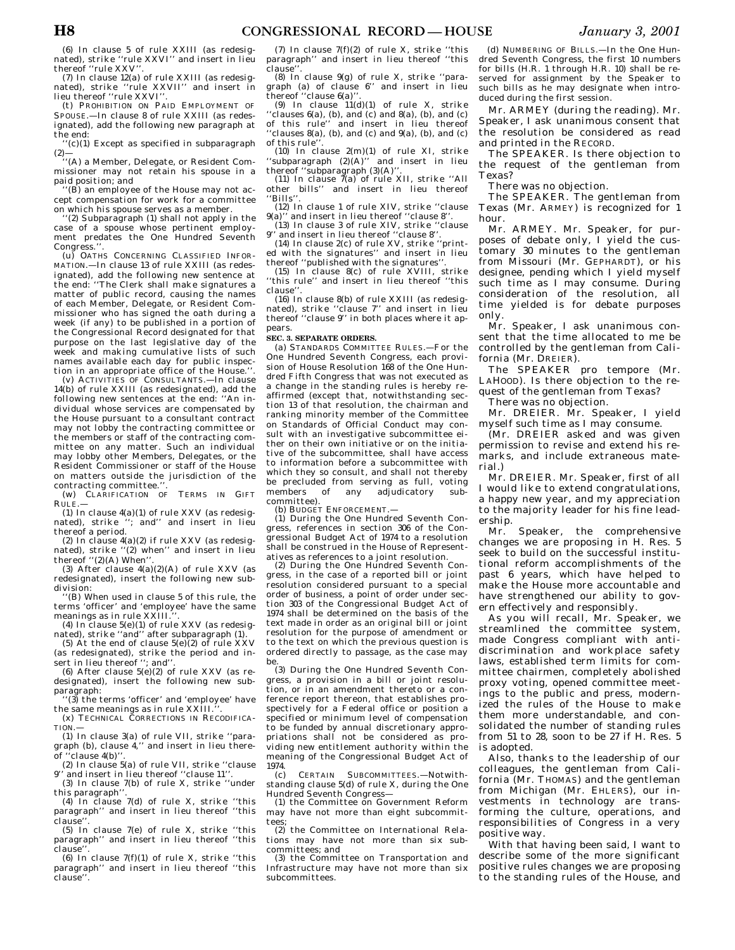(6) In clause 5 of rule XXIII (as redesignated), strike ''rule XXVI'' and insert in lieu thereof ''rule XXV''.

(7) In clause 12(a) of rule XXIII (as redesignated), strike ''rule XXVII'' and insert in lieu thereof ''rule XXVI''.

(t) PROHIBITION ON PAID EMPLOYMENT OF SPOUSE.—In clause 8 of rule XXIII (as redesignated), add the following new paragraph at the end:

 $'(c)(1)$  Except as specified in subparagraph (2)— ''(A) a Member, Delegate, or Resident Com-

missioner may not retain his spouse in a paid position; and

 $'(B)$  an employee of the House may not accept compensation for work for a committee on which his spouse serves as a member.

''(2) Subparagraph (1) shall not apply in the case of a spouse whose pertinent employment predates the One Hundred Seventh Congress.''.

(u) OATHS CONCERNING CLASSIFIED INFOR-MATION.—In clause 13 of rule XXIII (as redesignated), add the following new sentence at the end: ''The Clerk shall make signatures a matter of public record, causing the names of each Member, Delegate, or Resident Commissioner who has signed the oath during a week (if any) to be published in a portion of the Congressional Record designated for that purpose on the last legislative day of the week and making cumulative lists of such names available each day for public inspection in an appropriate office of the House.'

(v) ACTIVITIES OF CONSULTANTS.—In clause 14(b) of rule XXIII (as redesignated), add the following new sentences at the end: ''An individual whose services are compensated by the House pursuant to a consultant contract may not lobby the contracting committee or the members or staff of the contracting committee on any matter. Such an individual may lobby other Members, Delegates, or the Resident Commissioner or staff of the House on matters outside the jurisdiction of the contracting committee.''.

(w) CLARIFICATION OF TERMS IN GIFT RULE.—

 $(1)$  In clause  $4(a)(1)$  of rule XXV (as redesignated), strike ''; and'' and insert in lieu thereof a period.

(2) In clause  $4(a)(2)$  if rule XXV (as redesignated), strike ''(2) when'' and insert in lieu thereof ''(2)(A) When''.

(3) After clause  $4(a)(2)(A)$  of rule XXV (as redesignated), insert the following new subdivision:

'(B) When used in clause 5 of this rule, the terms 'officer' and 'employee' have the same meanings as in rule XXIII.

(4) In clause  $5(e)(1)$  of rule XXV (as redesignated), strike ''and'' after subparagraph (1).

(5) At the end of clause  $5(e)(2)$  of rule XXV (as redesignated), strike the period and insert in lieu thereof ": and"

(6) After clause  $5(e)(2)$  of rule XXV (as redesignated), insert the following new subparagraph:

''(3) the terms 'officer' and 'employee' have the same meanings as in rule XXIII.'

(x) TECHNICAL CORRECTIONS IN RECODIFICA-TION.—

(1) In clause 3(a) of rule VII, strike ''paragraph (b), clause 4,'' and insert in lieu thereof ''clause 4(b)''.

(2) In clause 5(a) of rule VII, strike ''clause 9'' and insert in lieu thereof ''clause 11''. (3) In clause 7(b) of rule X, strike ''under

this paragraph''.

 $(4)$  In clause 7(d) of rule X, strike "this paragraph'' and insert in lieu thereof ''this clause''.

(5) In clause 7(e) of rule X, strike ''this paragraph'' and insert in lieu thereof ''this .<br>clause

 $(6)$  In clause  $7(f)(1)$  of rule X, strike "this paragraph'' and insert in lieu thereof ''this clause''.

(7) In clause  $7(f)(2)$  of rule X, strike "this paragraph'' and insert in lieu thereof ''this clause''.

(8) In clause  $9(\varrho)$  of rule X, strike "paragraph (a) of clause 6'' and insert in lieu thereof ''clause 6(a)''.

(9) In clause  $11(d)(1)$  of rule X, strike ''clauses 6(a), (b), and (c) and 8(a), (b), and (c) of this rule'' and insert in lieu thereof 'clauses  $8(a)$ , (b), and (c) and  $9(a)$ , (b), and (c) of this rule'

(10) In clause 2(m)(1) of rule XI, strike ''subparagraph (2)(A)'' and insert in lieu thereof ''subparagraph (3)(A)''.

(11) In clause  $\tilde{7}$ (a) of rule XII, strike "All other bills'' and insert in lieu thereof ''Bills''.

(12) In clause 1 of rule XIV, strike ''clause  $9(a)$ <sup>"</sup> and insert in lieu thereof "clause  $8$ ".

(13) In clause 3 of rule XIV, strike ''clause 9'' and insert in lieu thereof ''clause 8''. (14) In clause 2(c) of rule XV, strike ''print-

ed with the signatures'' and insert in lieu thereof ''published with the signatures''.

(15) In clause  $8(c)$  of rule XVIII, strike 'this rule'' and insert in lieu thereof "this clause''.

(16) In clause 8(b) of rule XXIII (as redesignated), strike ''clause 7'' and insert in lieu thereof ''clause 9'' in both places where it appears.

#### **SEC. 3. SEPARATE ORDERS.**

(a) STANDARDS COMMITTEE RULES.—For the One Hundred Seventh Congress, each provision of House Resolution 168 of the One Hundred Fifth Congress that was not executed as a change in the standing rules is hereby reaffirmed (except that, notwithstanding section 13 of that resolution, the chairman and ranking minority member of the Committee on Standards of Official Conduct may consult with an investigative subcommittee either on their own initiative or on the initiative of the subcommittee, shall have access to information before a subcommittee with which they so consult, and shall not thereby be precluded from serving as full, voting members of any adjudicatory subcommittee).

(b) BUDGET ENFORCEMENT.

(1) During the One Hundred Seventh Congress, references in section 306 of the Congressional Budget Act of 1974 to a resolution shall be construed in the House of Representatives as references to a joint resolution.

(2) During the One Hundred Seventh Congress, in the case of a reported bill or joint resolution considered pursuant to a special order of business, a point of order under section 303 of the Congressional Budget Act of 1974 shall be determined on the basis of the text made in order as an original bill or joint resolution for the purpose of amendment or to the text on which the previous question is ordered directly to passage, as the case may be.

(3) During the One Hundred Seventh Congress, a provision in a bill or joint resolution, or in an amendment thereto or a conference report thereon, that establishes prospectively for a Federal office or position a specified or minimum level of compensation to be funded by annual discretionary appropriations shall not be considered as providing new entitlement authority within the meaning of the Congressional Budget Act of 1974.

(c) CERTAIN SUBCOMMITTEES.—Notwithstanding clause 5(d) of rule X, during the One Hundred Seventh Congress—

(1) the Committee on Government Reform may have not more than eight subcommittees;

(2) the Committee on International Relations may have not more than six subcommittees; and

(3) the Committee on Transportation and Infrastructure may have not more than six subcommittees.

(d) NUMBERING OF BILLS.—In the One Hundred Seventh Congress, the first 10 numbers for bills (H.R. 1 through H.R. 10) shall be reserved for assignment by the Speaker to such bills as he may designate when introduced during the first session.

Mr. ARMEY (during the reading). Mr. Speaker, I ask unanimous consent that the resolution be considered as read and printed in the RECORD.

The SPEAKER. Is there objection to the request of the gentleman from Texas?

There was no objection.

The SPEAKER. The gentleman from Texas (Mr. ARMEY) is recognized for 1 hour.

Mr. ARMEY. Mr. Speaker, for purposes of debate only, I yield the customary 30 minutes to the gentleman from Missouri (Mr. GEPHARDT), or his designee, pending which I yield myself such time as I may consume. During consideration of the resolution, all time yielded is for debate purposes only.

Mr. Speaker, I ask unanimous consent that the time allocated to me be controlled by the gentleman from California (Mr. DREIER).

The SPEAKER pro tempore (Mr. LAHOOD). Is there objection to the request of the gentleman from Texas?

There was no objection.

Mr. DREIER. Mr. Speaker, I yield myself such time as I may consume.

(Mr. DREIER asked and was given permission to revise and extend his remarks, and include extraneous material.)

Mr. DREIER. Mr. Speaker, first of all I would like to extend congratulations, a happy new year, and my appreciation to the majority leader for his fine leadership.

Mr. Speaker, the comprehensive changes we are proposing in H. Res. 5 seek to build on the successful institutional reform accomplishments of the past 6 years, which have helped to make the House more accountable and have strengthened our ability to govern effectively and responsibly.

As you will recall, Mr. Speaker, we streamlined the committee system, made Congress compliant with antidiscrimination and workplace safety laws, established term limits for committee chairmen, completely abolished proxy voting, opened committee meetings to the public and press, modernized the rules of the House to make them more understandable, and consolidated the number of standing rules from 51 to 28, soon to be 27 if H. Res. 5 is adopted.

Also, thanks to the leadership of our colleagues, the gentleman from California (Mr. THOMAS) and the gentleman from Michigan (Mr. EHLERS), our investments in technology are transforming the culture, operations, and responsibilities of Congress in a very positive way.

With that having been said, I want to describe some of the more significant positive rules changes we are proposing to the standing rules of the House, and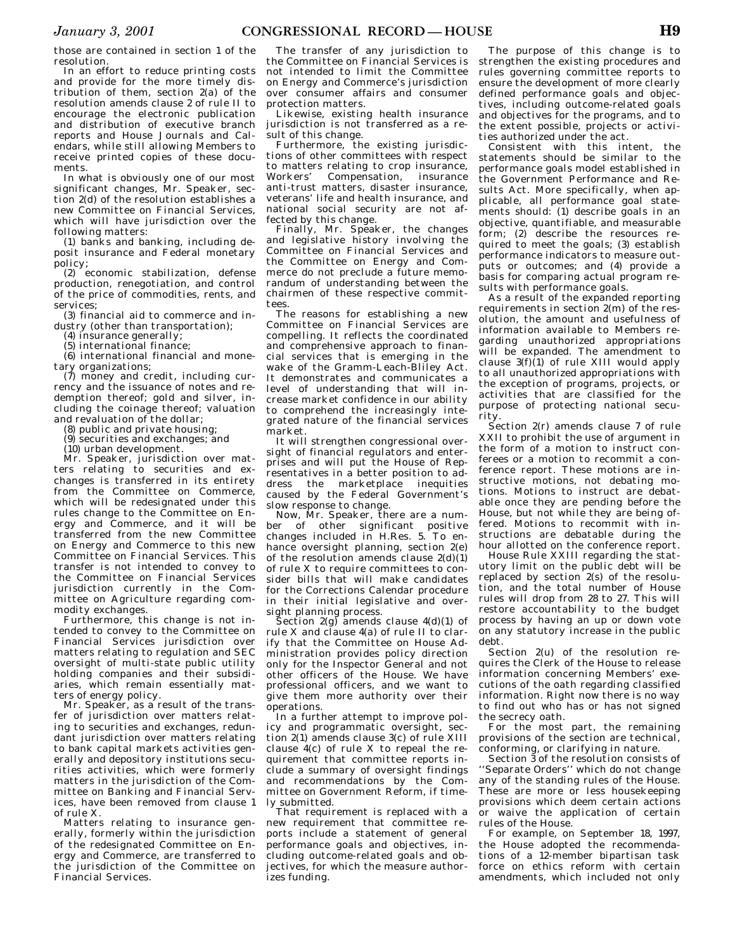those are contained in section 1 of the resolution.

In an effort to reduce printing costs and provide for the more timely distribution of them, section 2(a) of the resolution amends clause 2 of rule II to encourage the electronic publication and distribution of executive branch reports and House Journals and Calendars, while still allowing Members to receive printed copies of these documents.

In what is obviously one of our most significant changes, Mr. Speaker, section 2(d) of the resolution establishes a new Committee on Financial Services, which will have jurisdiction over the following matters:

(1) banks and banking, including deposit insurance and Federal monetary policy;

(2) economic stabilization, defense production, renegotiation, and control of the price of commodities, rents, and services:

(3) financial aid to commerce and industry (other than transportation);

(4) insurance generally;

(5) international finance;

(6) international financial and monetary organizations;

(7) money and credit, including currency and the issuance of notes and redemption thereof; gold and silver, including the coinage thereof; valuation and revaluation of the dollar;

(8) public and private housing;

(9) securities and exchanges; and

(10) urban development.

Mr. Speaker, jurisdiction over matters relating to securities and exchanges is transferred in its entirety from the Committee on Commerce, which will be redesignated under this rules change to the Committee on Energy and Commerce, and it will be transferred from the new Committee on Energy and Commerce to this new Committee on Financial Services. This transfer is not intended to convey to the Committee on Financial Services jurisdiction currently in the Committee on Agriculture regarding commodity exchanges.

Furthermore, this change is not intended to convey to the Committee on Financial Services jurisdiction over matters relating to regulation and SEC oversight of multi-state public utility holding companies and their subsidiaries, which remain essentially matters of energy policy.

Mr. Speaker, as a result of the transfer of jurisdiction over matters relating to securities and exchanges, redundant jurisdiction over matters relating to bank capital markets activities generally and depository institutions securities activities, which were formerly matters in the jurisdiction of the Committee on Banking and Financial Services, have been removed from clause 1 of rule X.

Matters relating to insurance generally, formerly within the jurisdiction of the redesignated Committee on Energy and Commerce, are transferred to the jurisdiction of the Committee on Financial Services.

The transfer of any jurisdiction to the Committee on Financial Services is not intended to limit the Committee on Energy and Commerce's jurisdiction over consumer affairs and consumer protection matters.

Likewise, existing health insurance jurisdiction is not transferred as a result of this change.

Furthermore, the existing jurisdictions of other committees with respect to matters relating to crop insurance, Workers' Compensation, insurance anti-trust matters, disaster insurance, veterans' life and health insurance, and national social security are not affected by this change.

Finally, Mr. Speaker, the changes and legislative history involving the Committee on Financial Services and the Committee on Energy and Commerce do not preclude a future memorandum of understanding between the chairmen of these respective committees.

The reasons for establishing a new Committee on Financial Services are compelling. It reflects the coordinated and comprehensive approach to financial services that is emerging in the wake of the Gramm-Leach-Bliley Act. It demonstrates and communicates a level of understanding that will increase market confidence in our ability to comprehend the increasingly integrated nature of the financial services market.

It will strengthen congressional oversight of financial regulators and enterprises and will put the House of Representatives in a better position to address the marketplace inequities caused by the Federal Government's slow response to change.

Now, Mr. Speaker, there are a number of other significant positive changes included in H.Res. 5. To enhance oversight planning, section 2(e) of the resolution amends clause 2(d)(1) of rule X to require committees to consider bills that will make candidates for the Corrections Calendar procedure in their initial legislative and oversight planning process.

Section  $2(g)$  amends clause  $4(d)(1)$  of rule X and clause 4(a) of rule II to clarify that the Committee on House Administration provides policy direction only for the Inspector General and not other officers of the House. We have professional officers, and we want to give them more authority over their operations.

In a further attempt to improve policy and programmatic oversight, section 2(1) amends clause 3(c) of rule XIII clause 4(c) of rule X to repeal the requirement that committee reports include a summary of oversight findings and recommendations by the Committee on Government Reform, if timely submitted.

That requirement is replaced with a new requirement that committee reports include a statement of general performance goals and objectives, including outcome-related goals and objectives, for which the measure authorizes funding.

The purpose of this change is to strengthen the existing procedures and rules governing committee reports to ensure the development of more clearly defined performance goals and objectives, including outcome-related goals and objectives for the programs, and to the extent possible, projects or activities authorized under the act.

Consistent with this intent, the statements should be similar to the performance goals model established in the Government Performance and Results Act. More specifically, when applicable, all performance goal statements should: (1) describe goals in an objective, quantifiable, and measurable form; (2) describe the resources required to meet the goals; (3) establish performance indicators to measure outputs or outcomes; and (4) provide a basis for comparing actual program results with performance goals.

As a result of the expanded reporting requirements in section 2(m) of the resolution, the amount and usefulness of information available to Members regarding unauthorized appropriations will be expanded. The amendment to clause  $3(f)(1)$  of rule XIII would apply to all unauthorized appropriations with the exception of programs, projects, or activities that are classified for the purpose of protecting national security.

Section 2(r) amends clause 7 of rule XXII to prohibit the use of argument in the form of a motion to instruct conferees or a motion to recommit a conference report. These motions are instructive motions, not debating motions. Motions to instruct are debatable once they are pending before the House, but not while they are being offered. Motions to recommit with instructions are debatable during the hour allotted on the conference report.

House Rule XXIII regarding the statutory limit on the public debt will be replaced by section 2(s) of the resolution, and the total number of House rules will drop from 28 to 27. This will restore accountability to the budget process by having an up or down vote on any statutory increase in the public debt.

Section 2(u) of the resolution requires the Clerk of the House to release information concerning Members' executions of the oath regarding classified information. Right now there is no way to find out who has or has not signed the secrecy oath.

For the most part, the remaining provisions of the section are technical, conforming, or clarifying in nature.

Section 3 of the resolution consists of ''Separate Orders'' which do not change any of the standing rules of the House. These are more or less housekeeping provisions which deem certain actions or waive the application of certain rules of the House.

For example, on September 18, 1997, the House adopted the recommendations of a 12-member bipartisan task force on ethics reform with certain amendments, which included not only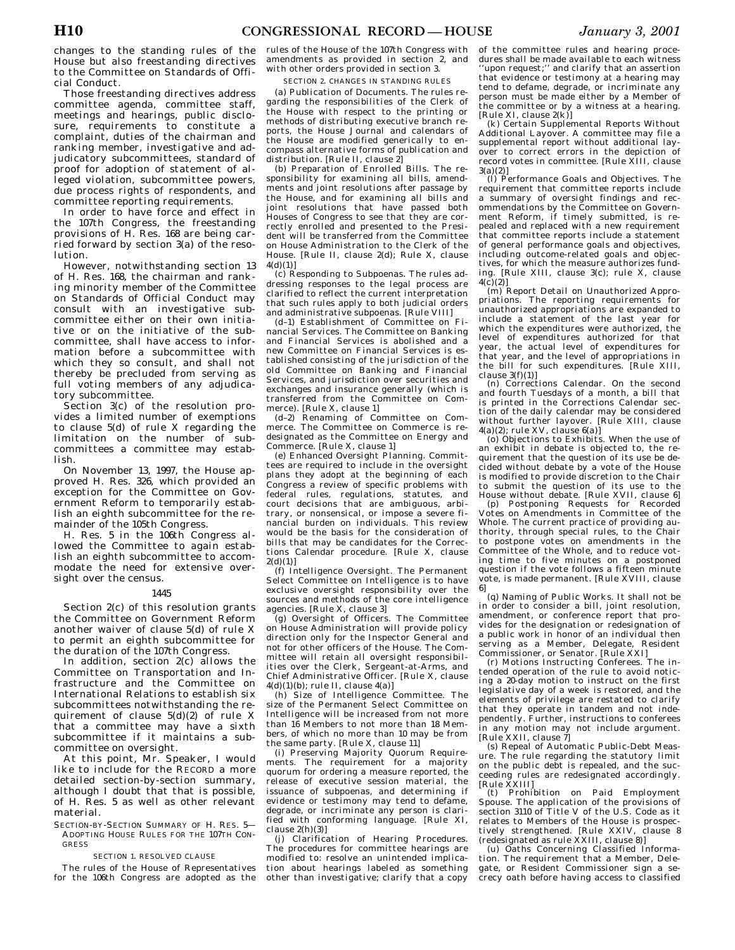changes to the standing rules of the House but also freestanding directives to the Committee on Standards of Official Conduct.

Those freestanding directives address committee agenda, committee staff, meetings and hearings, public disclosure, requirements to constitute a complaint, duties of the chairman and ranking member, investigative and adjudicatory subcommittees, standard of proof for adoption of statement of alleged violation, subcommittee powers, due process rights of respondents, and committee reporting requirements.

In order to have force and effect in the 107th Congress, the freestanding provisions of H. Res. 168 are being carried forward by section 3(a) of the resolution.

However, notwithstanding section 13 of H. Res. 168, the chairman and ranking minority member of the Committee on Standards of Official Conduct may consult with an investigative subcommittee either on their own initiative or on the initiative of the subcommittee, shall have access to information before a subcommittee with which they so consult, and shall not thereby be precluded from serving as full voting members of any adjudicatory subcommittee.

Section 3(c) of the resolution provides a limited number of exemptions to clause 5(d) of rule X regarding the limitation on the number of subcommittees a committee may establish.

On November 13, 1997, the House approved H. Res. 326, which provided an exception for the Committee on Government Reform to temporarily establish an eighth subcommittee for the remainder of the 105th Congress.

H. Res. 5 in the 106th Congress allowed the Committee to again establish an eighth subcommittee to accommodate the need for extensive oversight over the census.

### 1445

Section 2(c) of this resolution grants the Committee on Government Reform another waiver of clause 5(d) of rule X to permit an eighth subcommittee for the duration of the 107th Congress.

In addition, section  $2(c)$  allows the Committee on Transportation and Infrastructure and the Committee on International Relations to establish six subcommittees notwithstanding the requirement of clause  $5(d)(2)$  of rule X that a committee may have a sixth subcommittee if it maintains a subcommittee on oversight.

At this point, Mr. Speaker, I would like to include for the RECORD a more detailed section-by-section summary, although I doubt that that is possible, of H. Res. 5 as well as other relevant material.

SECTION-BY-SECTION SUMMARY OF H. RES. 5— ADOPTING HOUSE RULES FOR THE 107TH CON-GRESS

#### SECTION 1. RESOLVED CLAUSE

The rules of the House of Representatives for the 106th Congress are adopted as the

rules of the House of the 107th Congress with amendments as provided in section 2, and with other orders provided in section 3.

## SECTION 2. CHANGES IN STANDING RULES

(a) Publication of Documents. The rules regarding the responsibilities of the Clerk of the House with respect to the printing or methods of distributing executive branch reports, the House Journal and calendars of the House are modified generically to encompass alternative forms of publication and distribution. [Rule II, clause 2]

(b) Preparation of Enrolled Bills. The responsibility for examining all bills, amendments and joint resolutions after passage by the House, and for examining all bills and joint resolutions that have passed both Houses of Congress to see that they are correctly enrolled and presented to the President will be transferred from the Committee on House Administration to the Clerk of the House. [Rule II, clause 2(d); Rule X, clause  $4(d)(1)]$ 

(c) Responding to Subpoenas. The rules addressing responses to the legal process are clarified to reflect the current interpretation that such rules apply to both judicial orders and administrative subpoenas. [Rule VIII]

(d–1) Establishment of Committee on Financial Services. The Committee on Banking and Financial Services is abolished and a new Committee on Financial Services is established consisting of the jurisdiction of the old Committee on Banking and Financial Services, and jurisdiction over securities and exchanges and insurance generally (which is transferred from the Committee on Commerce). [Rule X, clause 1]

(d–2) Renaming of Committee on Commerce. The Committee on Commerce is redesignated as the Committee on Energy and Commerce. [Rule X, clause 1]

(e) Enhanced Oversight Planning. Committees are required to include in the oversight plans they adopt at the beginning of each Congress a review of specific problems with federal rules, regulations, statutes, and court decisions that are ambiguous, arbitrary, or nonsensical, or impose a severe financial burden on individuals. This review would be the basis for the consideration of bills that may be candidates for the Corrections Calendar procedure. [Rule X, clause  $2(d)(1)$ ]

(f) Intelligence Oversight. The Permanent Select Committee on Intelligence is to have exclusive oversight responsibility over the sources and methods of the core intelligence

agencies. [Rule X, clause 3] (g) Oversight of Officers. The Committee on House Administration will provide policy direction only for the Inspector General and not for other officers of the House. The Committee will retain all oversight responsibilities over the Clerk, Sergeant-at-Arms, and Chief Administrative Officer. [Rule X, clause  $4(d)(1)(b)$ ; rule II, clause  $4(a)$ ]

(h) Size of Intelligence Committee. The size of the Permanent Select Committee on Intelligence will be increased from not more than 16 Members to not more than 18 Members, of which no more than 10 may be from the same party. [Rule X, clause 11]

(i) Preserving Majority Quorum Requirements. The requirement for a majority quorum for ordering a measure reported, the release of executive session material, the issuance of subpoenas, and determining if evidence or testimony may tend to defame, degrade, or incriminate any person is clarified with conforming language. [Rule XI, clause 2(h)(3)]

(j) Clarification of Hearing Procedures. The procedures for committee hearings are modified to: resolve an unintended implication about hearings labeled as something other than investigative; clarify that a copy

of the committee rules and hearing procedures shall be made available to each witness ''upon request;'' and clarify that an assertion that evidence or testimony at a hearing may tend to defame, degrade, or incriminate any person must be made either by a Member of the committee or by a witness at a hearing. [Rule XI, clause 2(k)]

(k) Certain Supplemental Reports Without Additional Layover. A committee may file a supplemental report without additional layover to correct errors in the depiction of record votes in committee. [Rule XIII, clause  $3(a)(2)$ ]

(l) Performance Goals and Objectives. The requirement that committee reports include a summary of oversight findings and recommendations by the Committee on Government Reform, if timely submitted, is repealed and replaced with a new requirement that committee reports include a statement of general performance goals and objectives, including outcome-related goals and objec-tives, for which the measure authorizes funding. [Rule XIII, clause 3(c); rule X, clause  $4(c)(2)$ ]

(m) Report Detail on Unauthorized Appropriations. The reporting requirements for unauthorized appropriations are expanded to include a statement of the last year for which the expenditures were authorized, the level of expenditures authorized for that year, the actual level of expenditures for that year, and the level of appropriations in the bill for such expenditures. [Rule XIII, clause 3(f)(1)]

(n) Corrections Calendar. On the second and fourth Tuesdays of a month, a bill that is printed in the Corrections Calendar section of the daily calendar may be considered without further layover. [Rule XIII, clause  $4(a)(2)$ ; rule XV, clause  $6(a)$ ]

(o) Objections to Exhibits. When the use of an exhibit in debate is objected to, the requirement that the question of its use be decided without debate by a vote of the House is modified to provide discretion to the Chair to submit the question of its use to the House without debate. [Rule XVII, clause 6] (p) Postponing Requests for Recorded

Votes on Amendments in Committee of the Whole. The current practice of providing authority, through special rules, to the Chair to postpone votes on amendments in the Committee of the Whole, and to reduce voting time to five minutes on a postponed question if the vote follows a fifteen minute vote, is made permanent. [Rule XVIII, clause 6]

(q) Naming of Public Works. It shall not be in order to consider a bill, joint resolution, amendment, or conference report that provides for the designation or redesignation of a public work in honor of an individual then serving as a Member, Delegate, Resident Commissioner, or Senator. [Rule XXI] (r) Motions Instructing Conferees. The in-

tended operation of the rule to avoid noticing a 20-day motion to instruct on the first legislative day of a week is restored, and the elements of privilege are restated to clarify that they operate in tandem and not independently. Further, instructions to conferees in any motion may not include argument. [Rule XXII, clause 7]

(s) Repeal of Automatic Public-Debt Measure. The rule regarding the statutory limit on the public debt is repealed, and the succeeding rules are redesignated accordingly. [Rule XXIII]

(t) Prohibition on Paid Employment Spouse. The application of the provisions of section 3110 of Title V of the U.S. Code as it relates to Members of the House is prospectively strengthened. [Rule XXIV, clause 8 (redesignated as rule XXIII, clause 8)] (u) Oaths Concerning Classified Informa-

tion. The requirement that a Member, Delegate, or Resident Commissioner sign a secrecy oath before having access to classified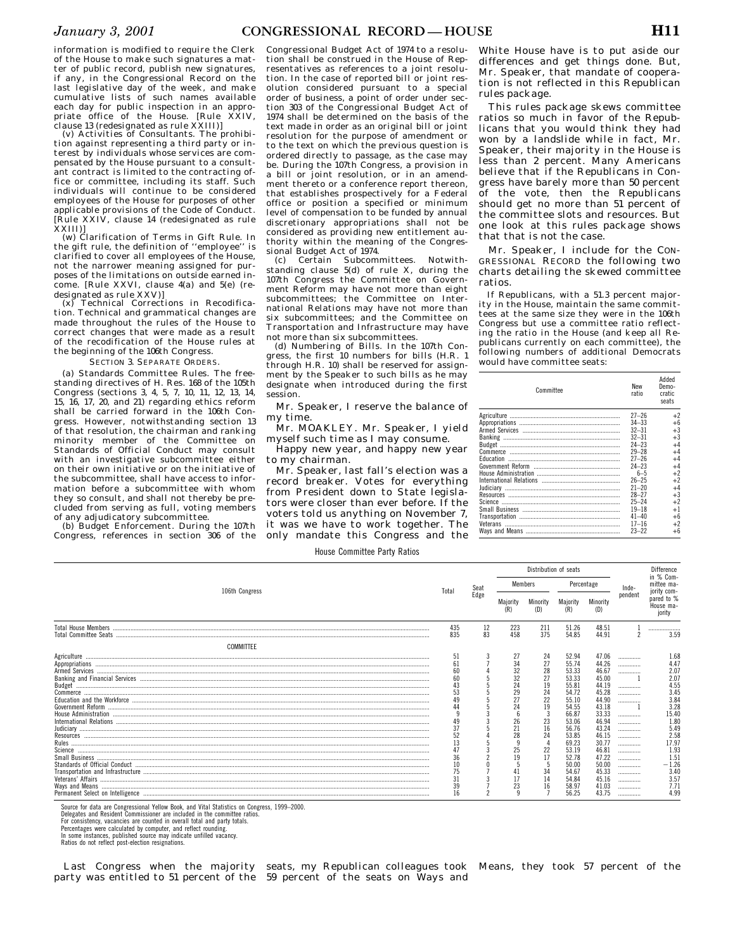tion shall be construed in the House of Representatives as references to a joint resolution. In the case of reported bill or joint resolution considered pursuant to a special order of business, a point of order under section 303 of the Congressional Budget Act of 1974 shall be determined on the basis of the text made in order as an original bill or joint resolution for the purpose of amendment or to the text on which the previous question is ordered directly to passage, as the case may be. During the 107th Congress, a provision in a bill or joint resolution, or in an amendment thereto or a conference report thereon, that establishes prospectively for a Federal office or position a specified or minimum level of compensation to be funded by annual discretionary appropriations shall not be considered as providing new entitlement authority within the meaning of the Congres-

(c) Certain Subcommittees. Notwithstanding clause 5(d) of rule X, during the 107th Congress the Committee on Government Reform may have not more than eight subcommittees; the Committee on International Relations may have not more than six subcommittees; and the Committee on Transportation and Infrastructure may have

(d) Numbering of Bills. In the 107th Congress, the first 10 numbers for bills (H.R. 1 through H.R. 10) shall be reserved for assignment by the Speaker to such bills as he may designate when introduced during the first

sional Budget Act of 1974.

session.

my time.

to my chairman.

not more than six subcommittees.

information is modified to require the Clerk of the House to make such signatures a matter of public record, publish new signatures, if any, in the Congressional Record on the last legislative day of the week, and make cumulative lists of such names available each day for public inspection in an appropriate office of the House. [Rule XXIV, clause 13 (redesignated as rule XXIII)]

(v) Activities of Consultants. The prohibition against representing a third party or interest by individuals whose services are compensated by the House pursuant to a consultant contract is limited to the contracting office or committee, including its staff. Such individuals will continue to be considered employees of the House for purposes of other applicable provisions of the Code of Conduct. [Rule XXIV, clause 14 (redesignated as rule

XXIII)] (w) Clarification of Terms in Gift Rule. In the gift rule, the definition of ''employee'' is clarified to cover all employees of the House, not the narrower meaning assigned for purposes of the limitations on outside earned income. [Rule XXVI, clause 4(a) and 5(e) (redesignated as rule XXV)]

(x) Technical Corrections in Recodification. Technical and grammatical changes are made throughout the rules of the House to correct changes that were made as a result of the recodification of the House rules at the beginning of the 106th Congress.

SECTION 3. SEPARATE ORDERS.

(a) Standards Committee Rules. The freestanding directives of H. Res. 168 of the 105th Congress (sections 3, 4, 5, 7, 10, 11, 12, 13, 14, 15, 16, 17, 20, and 21) regarding ethics reform shall be carried forward in the 106th Congress. However, notwithstanding section 13 of that resolution, the chairman and ranking minority member of the Committee on Standards of Official Conduct may consult with an investigative subcommittee either on their own initiative or on the initiative of the subcommittee, shall have access to information before a subcommittee with whom they so consult, and shall not thereby be precluded from serving as full, voting members of any adjudicatory subcommittee.

(b) Budget Enforcement. During the 107th Congress, references in section 306 of the

only mandate this Congress and the

White House have is to put aside our differences and get things done. But, Mr. Speaker, that mandate of cooperation is not reflected in this Republican rules package.

This rules package skews committee ratios so much in favor of the Republicans that you would think they had won by a landslide while in fact, Mr. Speaker, their majority in the House is less than 2 percent. Many Americans believe that if the Republicans in Congress have barely more than 50 percent of the vote, then the Republicans should get no more than 51 percent of the committee slots and resources. But one look at this rules package shows that that is not the case.

Mr. Speaker, I include for the CON-GRESSIONAL RECORD the following two charts detailing the skewed committee ratios.

If Republicans, with a 51.3 percent majority in the House, maintain the same committees at the same size they were in the 106th Congress but use a committee ratio reflecting the ratio in the House (and keep all Republicans currently on each committee), the following numbers of additional Democrats would have committee seats:

| ent by the Speaker to such bills as he may<br>esignate when introduced during the first<br>ssion. | Committee | New<br>ratio           | Added<br>Demo-<br>cratic<br>seats |
|---------------------------------------------------------------------------------------------------|-----------|------------------------|-----------------------------------|
| Mr. Speaker, I reserve the balance of                                                             |           |                        |                                   |
| ıy time.                                                                                          |           | $27 - 26$              | $+2$                              |
|                                                                                                   |           | $34 - 33$              | $+6$                              |
| Mr. MOAKLEY. Mr. Speaker, I yield                                                                 |           | $32 - 31$              | $+3$                              |
| iyself such time as I may consume.                                                                |           | $32 - 31$              | $+3$                              |
| Happy new year, and happy new year                                                                |           | $24 - 23$              | $+4$                              |
|                                                                                                   |           | $29 - 28$              | $+4$                              |
| o my chairman.                                                                                    |           | $27 - 26$<br>$24 - 23$ | $+4$<br>$+4$                      |
| Mr. Speaker, last fall's election was a                                                           |           | $6 - 5$                | $+2$                              |
| ecord breaker. Votes for everything                                                               |           | $26 - 25$              | $+2$                              |
|                                                                                                   |           | $21 - 20$              | $+4$                              |
| om President down to State legisla-                                                               |           | $28 - 27$              | $+3$                              |
| ors were closer than ever before. If the                                                          |           | $25 - 24$              | $+2$                              |
|                                                                                                   |           | $19 - 18$              | $+1$                              |
| oters told us anything on November 7,                                                             |           | $41 - 40$              | $+6$                              |
| was we have to work together. The                                                                 |           | $17 - 16$              | $+2$                              |
| مماط امعرها موموموموها وفطيل وطوامومومون بوامر                                                    |           | $23 - 22$              |                                   |

|  | House Committee Party Ratios |  |  |  |
|--|------------------------------|--|--|--|
|--|------------------------------|--|--|--|

| Seat<br>Edge<br>12<br>83 | Members<br>Majority<br>223<br>458                                          | Minority<br>(D)<br>211                                                     | Maiority<br>(R)                                                                                                                                                         | Percentage<br>Minority<br>(D)                                                                                                                                           | Inde-<br>pendent                                                 | in % Com-<br>mittee ma-<br>jority com-<br>pared to %<br>House ma-                                                                                                 |
|--------------------------|----------------------------------------------------------------------------|----------------------------------------------------------------------------|-------------------------------------------------------------------------------------------------------------------------------------------------------------------------|-------------------------------------------------------------------------------------------------------------------------------------------------------------------------|------------------------------------------------------------------|-------------------------------------------------------------------------------------------------------------------------------------------------------------------|
|                          |                                                                            |                                                                            |                                                                                                                                                                         |                                                                                                                                                                         |                                                                  |                                                                                                                                                                   |
|                          |                                                                            |                                                                            |                                                                                                                                                                         |                                                                                                                                                                         |                                                                  | jority                                                                                                                                                            |
|                          |                                                                            | 375                                                                        | 51.26<br>54.85                                                                                                                                                          | 48.51<br>44.91                                                                                                                                                          |                                                                  | <br>3.59                                                                                                                                                          |
|                          |                                                                            |                                                                            |                                                                                                                                                                         |                                                                                                                                                                         |                                                                  |                                                                                                                                                                   |
|                          | 34<br>32<br>32<br>24<br>29<br>27<br>24<br>Zb<br>21<br>28<br>25<br>19<br>23 | 24<br>27<br>28<br>27<br>19<br>24<br>22<br>19<br>23<br>16<br>24<br>22<br>17 | 52.94<br>55.74<br>53.33<br>53.33<br>55.81<br>54.72<br>55.10<br>54.55<br>66.87<br>53.06<br>56.76<br>53.85<br>69.23<br>53.19<br>52.78<br>50.00<br>54.67<br>54.84<br>58.97 | 47.06<br>44.26<br>46.67<br>45.00<br>44.19<br>45.28<br>44.90<br>43.18<br>33.33<br>46.94<br>43.24<br>46.15<br>30.77<br>46.81<br>47.22<br>50.00<br>45.33<br>45.16<br>41.03 | <br><br><br><br><br><br><br><br><br><br><br><br><br><br><br><br> | 1.68<br>4.47<br>2.07<br>2.07<br>4.55<br>3.45<br>3.84<br>3.28<br>15.40<br>l.80<br>5.49<br>2.58<br>17.97<br>1.93<br>1.51<br>$-1.26$<br>3.40<br>3.57<br>7.71<br>4.99 |
|                          |                                                                            |                                                                            |                                                                                                                                                                         | 56.25                                                                                                                                                                   | 43.75                                                            |                                                                                                                                                                   |

Source for data are Congressional Yellow Book, and Vital Statistics on Congress, 1999–2000. Delegates and Resident Commissioner are included in the committee ratios.

For consistency, vacancies are counted in overall total and party totals.

Percentages were calculated by computer, and reflect rounding. In some instances, published source may indicate unfilled vacancy. Ratios do not reflect post-election resignations.

Last Congress when the majority

party was entitled to 51 percent of the 59 percent of the seats on Ways and seats, my Republican colleagues took Means, they took 57 percent of the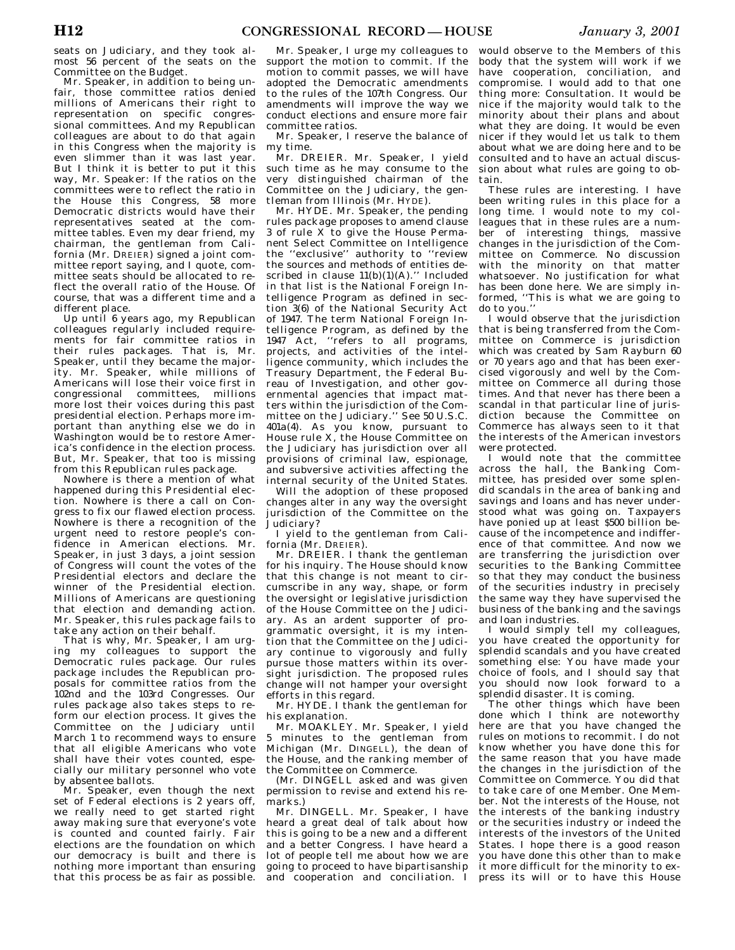seats on Judiciary, and they took almost 56 percent of the seats on the Committee on the Budget.

Mr. Speaker, in addition to being unfair, those committee ratios denied millions of Americans their right to representation on specific congressional committees. And my Republican colleagues are about to do that again in this Congress when the majority is even slimmer than it was last year. But I think it is better to put it this way, Mr. Speaker: If the ratios on the committees were to reflect the ratio in the House this Congress, 58 more Democratic districts would have their representatives seated at the committee tables. Even my dear friend, my chairman, the gentleman from California (Mr. DREIER) signed a joint committee report saying, and I quote, committee seats should be allocated to reflect the overall ratio of the House. Of course, that was a different time and a different place.

Up until 6 years ago, my Republican colleagues regularly included requirements for fair committee ratios in their rules packages. That is, Mr. Speaker, until they became the majority. Mr. Speaker, while millions of Americans will lose their voice first in congressional committees, millions more lost their voices during this past presidential election. Perhaps more important than anything else we do in Washington would be to restore America's confidence in the election process. But, Mr. Speaker, that too is missing from this Republican rules package.

Nowhere is there a mention of what happened during this Presidential election. Nowhere is there a call on Congress to fix our flawed election process. Nowhere is there a recognition of the urgent need to restore people's confidence in American elections. Mr. Speaker, in just 3 days, a joint session of Congress will count the votes of the Presidential electors and declare the winner of the Presidential election. Millions of Americans are questioning that election and demanding action. Mr. Speaker, this rules package fails to take any action on their behalf.

That is why, Mr. Speaker, I am urging my colleagues to support the Democratic rules package. Our rules package includes the Republican proposals for committee ratios from the 102nd and the 103rd Congresses. Our rules package also takes steps to reform our election process. It gives the Committee on the Judiciary until March 1 to recommend ways to ensure that all eligible Americans who vote shall have their votes counted, especially our military personnel who vote by absentee ballots.

Mr. Speaker, even though the next set of Federal elections is 2 years off, we really need to get started right away making sure that everyone's vote is counted and counted fairly. Fair elections are the foundation on which our democracy is built and there is nothing more important than ensuring that this process be as fair as possible.

Mr. Speaker, I urge my colleagues to support the motion to commit. If the motion to commit passes, we will have adopted the Democratic amendments to the rules of the 107th Congress. Our amendments will improve the way we conduct elections and ensure more fair committee ratios.

Mr. Speaker, I reserve the balance of my time.

Mr. DREIER. Mr. Speaker, I yield such time as he may consume to the very distinguished chairman of the Committee on the Judiciary, the gentleman from Illinois (Mr. HYDE).

Mr. HYDE. Mr. Speaker, the pending rules package proposes to amend clause 3 of rule X to give the House Permanent Select Committee on Intelligence the ''exclusive'' authority to ''review the sources and methods of entities described in clause  $11(b)(1)(A)$ ." Included in that list is the National Foreign Intelligence Program as defined in section 3(6) of the National Security Act of 1947. The term National Foreign Intelligence Program, as defined by the 1947 Act, "refers to all programs, projects, and activities of the intelligence community, which includes the Treasury Department, the Federal Bureau of Investigation, and other governmental agencies that impact matters within the jurisdiction of the Committee on the Judiciary.'' See 50 U.S.C. 401a(4). As you know, pursuant to House rule X, the House Committee on the Judiciary has jurisdiction over all provisions of criminal law, espionage, and subversive activities affecting the internal security of the United States.

Will the adoption of these proposed changes alter in any way the oversight jurisdiction of the Committee on the Judiciary?

I yield to the gentleman from California (Mr. DREIER).

Mr. DREIER. I thank the gentleman for his inquiry. The House should know that this change is not meant to circumscribe in any way, shape, or form the oversight or legislative jurisdiction of the House Committee on the Judiciary. As an ardent supporter of programmatic oversight, it is my intention that the Committee on the Judiciary continue to vigorously and fully pursue those matters within its oversight jurisdiction. The proposed rules change will not hamper your oversight efforts in this regard.

Mr. HYDE. I thank the gentleman for his explanation.

Mr. MOAKLEY. Mr. Speaker, I yield 5 minutes to the gentleman from Michigan (Mr. DINGELL), the dean of the House, and the ranking member of the Committee on Commerce.

(Mr. DINGELL asked and was given permission to revise and extend his remarks.)

Mr. DINGELL. Mr. Speaker, I have heard a great deal of talk about how this is going to be a new and a different and a better Congress. I have heard a lot of people tell me about how we are going to proceed to have bipartisanship and cooperation and conciliation. I

would observe to the Members of this body that the system will work if we have cooperation, conciliation, and compromise. I would add to that one thing more: Consultation. It would be nice if the majority would talk to the minority about their plans and about what they are doing. It would be even nicer if they would let us talk to them about what we are doing here and to be consulted and to have an actual discussion about what rules are going to obtain.

These rules are interesting. I have been writing rules in this place for a long time. I would note to my colleagues that in these rules are a number of interesting things, massive changes in the jurisdiction of the Committee on Commerce. No discussion with the minority on that matter whatsoever. No justification for what has been done here. We are simply informed, ''This is what we are going to do to you.''

I would observe that the jurisdiction that is being transferred from the Committee on Commerce is jurisdiction which was created by Sam Rayburn 60 or 70 years ago and that has been exercised vigorously and well by the Committee on Commerce all during those times. And that never has there been a scandal in that particular line of jurisdiction because the Committee on Commerce has always seen to it that the interests of the American investors were protected.

I would note that the committee across the hall, the Banking Committee, has presided over some splendid scandals in the area of banking and savings and loans and has never understood what was going on. Taxpayers have ponied up at least \$500 billion because of the incompetence and indifference of that committee. And now we are transferring the jurisdiction over securities to the Banking Committee so that they may conduct the business of the securities industry in precisely the same way they have supervised the business of the banking and the savings and loan industries.

I would simply tell my colleagues, you have created the opportunity for splendid scandals and you have created something else: You have made your choice of fools, and I should say that you should now look forward to a splendid disaster. It is coming.

The other things which have been done which I think are noteworthy here are that you have changed the rules on motions to recommit. I do not know whether you have done this for the same reason that you have made the changes in the jurisdiction of the Committee on Commerce. You did that to take care of one Member. One Member. Not the interests of the House, not the interests of the banking industry or the securities industry or indeed the interests of the investors of the United States. I hope there is a good reason you have done this other than to make it more difficult for the minority to express its will or to have this House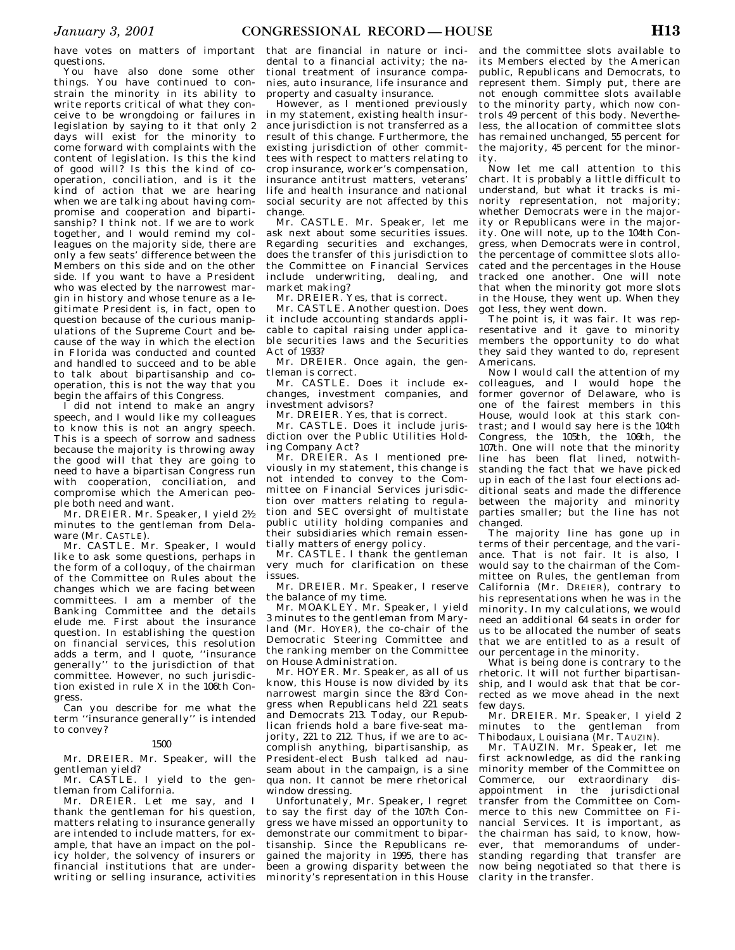have votes on matters of important questions.

You have also done some other things. You have continued to constrain the minority in its ability to write reports critical of what they conceive to be wrongdoing or failures in legislation by saying to it that only 2 days will exist for the minority to come forward with complaints with the content of legislation. Is this the kind of good will? Is this the kind of cooperation, conciliation, and is it the kind of action that we are hearing when we are talking about having compromise and cooperation and bipartisanship? I think not. If we are to work together, and I would remind my colleagues on the majority side, there are only a few seats' difference between the Members on this side and on the other side. If you want to have a President who was elected by the narrowest margin in history and whose tenure as a legitimate President is, in fact, open to question because of the curious manipulations of the Supreme Court and because of the way in which the election in Florida was conducted and counted and handled to succeed and to be able to talk about bipartisanship and cooperation, this is not the way that you begin the affairs of this Congress.

I did not intend to make an angry speech, and I would like my colleagues to know this is not an angry speech. This is a speech of sorrow and sadness because the majority is throwing away the good will that they are going to need to have a bipartisan Congress run with cooperation, conciliation, and compromise which the American people both need and want.

Mr. DREIER. Mr. Speaker, I yield 21⁄2 minutes to the gentleman from Delaware (Mr. CASTLE).

Mr. CASTLE. Mr. Speaker, I would like to ask some questions, perhaps in the form of a colloquy, of the chairman of the Committee on Rules about the changes which we are facing between committees. I am a member of the Banking Committee and the details elude me. First about the insurance question. In establishing the question on financial services, this resolution adds a term, and I quote, ''insurance generally'' to the jurisdiction of that committee. However, no such jurisdiction existed in rule X in the 106th Congress.

Can you describe for me what the term ''insurance generally'' is intended to convey?

#### 1500

Mr. DREIER. Mr. Speaker, will the gentleman yield?

Mr. CASTLE. I yield to the gentleman from California.

Mr. DREIER. Let me say, and I thank the gentleman for his question, matters relating to insurance generally are intended to include matters, for example, that have an impact on the policy holder, the solvency of insurers or financial institutions that are underwriting or selling insurance, activities

that are financial in nature or incidental to a financial activity; the national treatment of insurance companies, auto insurance, life insurance and property and casualty insurance.

However, as I mentioned previously in my statement, existing health insurance jurisdiction is not transferred as a result of this change. Furthermore, the existing jurisdiction of other committees with respect to matters relating to crop insurance, worker's compensation, insurance antitrust matters, veterans' life and health insurance and national social security are not affected by this change.

Mr. CASTLE. Mr. Speaker, let me ask next about some securities issues. Regarding securities and exchanges, does the transfer of this jurisdiction to the Committee on Financial Services include underwriting, dealing, and market making?

Mr. DREIER. Yes, that is correct.

Mr. CASTLE. Another question. Does it include accounting standards applicable to capital raising under applicable securities laws and the Securities Act of 1933?

Mr. DREIER. Once again, the gentleman is correct.

Mr. CASTLE. Does it include exchanges, investment companies, and investment advisors?

Mr. DREIER. Yes, that is correct.

Mr. CASTLE. Does it include jurisdiction over the Public Utilities Holding Company Act?

Mr. DREIER. As I mentioned previously in my statement, this change is not intended to convey to the Committee on Financial Services jurisdiction over matters relating to regulation and SEC oversight of multistate public utility holding companies and their subsidiaries which remain essentially matters of energy policy.

Mr. CASTLE. I thank the gentleman very much for clarification on these issues.

Mr. DREIER. Mr. Speaker, I reserve the balance of my time.

Mr. MOAKLEY. Mr. Speaker, I yield 3 minutes to the gentleman from Maryland (Mr. HOYER), the co-chair of the Democratic Steering Committee and the ranking member on the Committee on House Administration.

Mr. HOYER. Mr. Speaker, as all of us know, this House is now divided by its narrowest margin since the 83rd Congress when Republicans held 221 seats and Democrats 213. Today, our Republican friends hold a bare five-seat majority, 221 to 212. Thus, if we are to accomplish anything, bipartisanship, as President-elect Bush talked ad nauseam about in the campaign, is a sine qua non. It cannot be mere rhetorical window dressing.

Unfortunately, Mr. Speaker, I regret to say the first day of the 107th Congress we have missed an opportunity to demonstrate our commitment to bipartisanship. Since the Republicans regained the majority in 1995, there has been a growing disparity between the minority's representation in this House

and the committee slots available to its Members elected by the American public, Republicans and Democrats, to represent them. Simply put, there are not enough committee slots available to the minority party, which now controls 49 percent of this body. Nevertheless, the allocation of committee slots has remained unchanged, 55 percent for the majority, 45 percent for the minority.

Now let me call attention to this chart. It is probably a little difficult to understand, but what it tracks is minority representation, not majority; whether Democrats were in the majority or Republicans were in the majority. One will note, up to the 104th Congress, when Democrats were in control, the percentage of committee slots allocated and the percentages in the House tracked one another. One will note that when the minority got more slots in the House, they went up. When they got less, they went down.

The point is, it was fair. It was representative and it gave to minority members the opportunity to do what they said they wanted to do, represent Americans.

Now I would call the attention of my colleagues, and I would hope the former governor of Delaware, who is one of the fairest members in this House, would look at this stark contrast; and I would say here is the 104th Congress, the 105th, the 106th, the 107th. One will note that the minority line has been flat lined, notwithstanding the fact that we have picked up in each of the last four elections additional seats and made the difference between the majority and minority parties smaller; but the line has not changed.

The majority line has gone up in terms of their percentage, and the variance. That is not fair. It is also, I would say to the chairman of the Committee on Rules, the gentleman from California (Mr. DREIER), contrary to his representations when he was in the minority. In my calculations, we would need an additional 64 seats in order for us to be allocated the number of seats that we are entitled to as a result of our percentage in the minority.

What is being done is contrary to the rhetoric. It will not further bipartisanship, and I would ask that that be corrected as we move ahead in the next few days.

Mr. DREIER. Mr. Speaker, I yield 2 minutes to the gentleman from Thibodaux, Louisiana (Mr. TAUZIN).

Mr. TAUZIN. Mr. Speaker, let me first acknowledge, as did the ranking minority member of the Committee on Commerce, our extraordinary disappointment in the jurisdictional transfer from the Committee on Commerce to this new Committee on Financial Services. It is important, as the chairman has said, to know, however, that memorandums of understanding regarding that transfer are now being negotiated so that there is clarity in the transfer.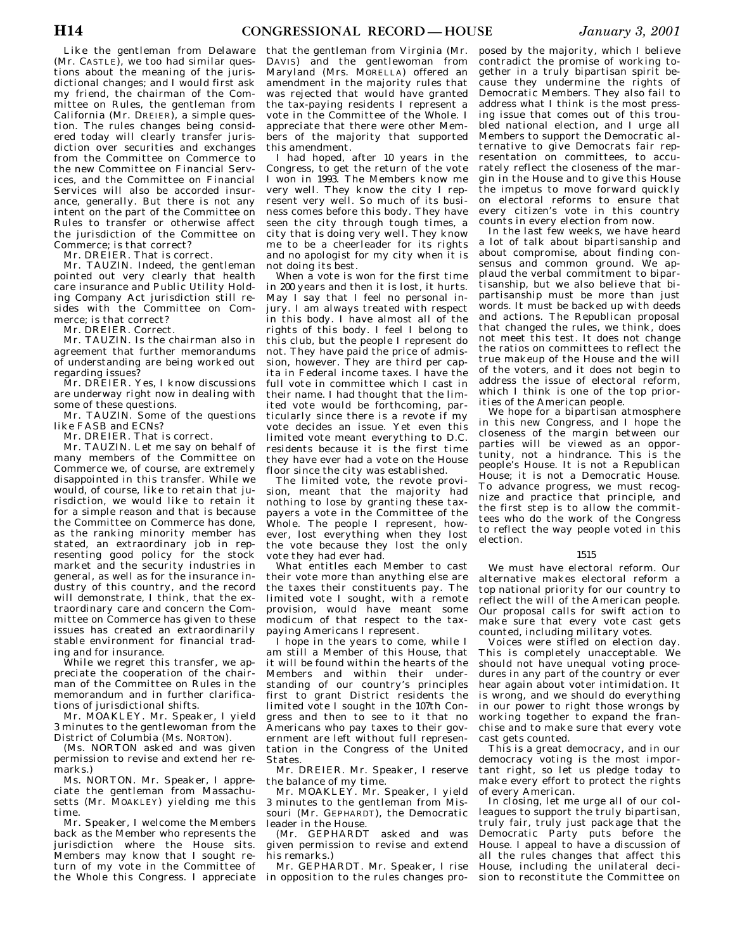Like the gentleman from Delaware (Mr. CASTLE), we too had similar questions about the meaning of the jurisdictional changes; and I would first ask my friend, the chairman of the Committee on Rules, the gentleman from California (Mr. DREIER), a simple question. The rules changes being considered today will clearly transfer jurisdiction over securities and exchanges from the Committee on Commerce to the new Committee on Financial Services, and the Committee on Financial Services will also be accorded insurance, generally. But there is not any intent on the part of the Committee on Rules to transfer or otherwise affect the jurisdiction of the Committee on Commerce; is that correct?

Mr. DREIER. That is correct.

Mr. TAUZIN. Indeed, the gentleman pointed out very clearly that health care insurance and Public Utility Holding Company Act jurisdiction still resides with the Committee on Commerce; is that correct?

Mr. DREIER. Correct.

Mr. TAUZIN. Is the chairman also in agreement that further memorandums of understanding are being worked out regarding issues?

Mr. DREIER. Yes, I know discussions are underway right now in dealing with some of these questions.

Mr. TAUZIN. Some of the questions like FASB and ECNs?

Mr. DREIER. That is correct.

Mr. TAUZIN. Let me say on behalf of many members of the Committee on Commerce we, of course, are extremely disappointed in this transfer. While we would, of course, like to retain that jurisdiction, we would like to retain it for a simple reason and that is because the Committee on Commerce has done, as the ranking minority member has stated, an extraordinary job in representing good policy for the stock market and the security industries in general, as well as for the insurance industry of this country, and the record will demonstrate, I think, that the extraordinary care and concern the Committee on Commerce has given to these issues has created an extraordinarily stable environment for financial trading and for insurance.

While we regret this transfer, we appreciate the cooperation of the chairman of the Committee on Rules in the memorandum and in further clarifications of jurisdictional shifts.

Mr. MOAKLEY. Mr. Speaker, I yield 3 minutes to the gentlewoman from the District of Columbia (Ms. NORTON).

(Ms. NORTON asked and was given permission to revise and extend her remarks.)

Ms. NORTON. Mr. Speaker, I appreciate the gentleman from Massachusetts (Mr. MOAKLEY) yielding me this time.

Mr. Speaker, I welcome the Members back as the Member who represents the jurisdiction where the House sits. Members may know that I sought return of my vote in the Committee of the Whole this Congress. I appreciate

that the gentleman from Virginia (Mr. DAVIS) and the gentlewoman from Maryland (Mrs. MORELLA) offered an amendment in the majority rules that was rejected that would have granted the tax-paying residents I represent a vote in the Committee of the Whole. I appreciate that there were other Members of the majority that supported this amendment.

I had hoped, after 10 years in the Congress, to get the return of the vote I won in 1993. The Members know me very well. They know the city I represent very well. So much of its business comes before this body. They have seen the city through tough times, a city that is doing very well. They know me to be a cheerleader for its rights and no apologist for my city when it is not doing its best.

When a vote is won for the first time in 200 years and then it is lost, it hurts. May I say that I feel no personal injury. I am always treated with respect in this body. I have almost all of the rights of this body. I feel I belong to this club, but the people I represent do not. They have paid the price of admission, however. They are third per capita in Federal income taxes. I have the full vote in committee which I cast in their name. I had thought that the limited vote would be forthcoming, particularly since there is a revote if my vote decides an issue. Yet even this limited vote meant everything to D.C. residents because it is the first time they have ever had a vote on the House floor since the city was established.

The limited vote, the revote provision, meant that the majority had nothing to lose by granting these taxpayers a vote in the Committee of the Whole. The people I represent, however, lost everything when they lost the vote because they lost the only vote they had ever had.

What entitles each Member to cast their vote more than anything else are the taxes their constituents pay. The limited vote I sought, with a remote provision, would have meant some modicum of that respect to the taxpaying Americans I represent.

I hope in the years to come, while I am still a Member of this House, that it will be found within the hearts of the Members and within their understanding of our country's principles first to grant District residents the limited vote I sought in the 107th Congress and then to see to it that no Americans who pay taxes to their government are left without full representation in the Congress of the United States.

Mr. DREIER. Mr. Speaker, I reserve the balance of my time.

Mr. MOAKLEY. Mr. Speaker, I yield 3 minutes to the gentleman from Missouri (Mr. GEPHARDT), the Democratic leader in the House.

(Mr. GEPHARDT asked and was given permission to revise and extend his remarks.)

Mr. GEPHARDT. Mr. Speaker, I rise in opposition to the rules changes proposed by the majority, which I believe contradict the promise of working together in a truly bipartisan spirit because they undermine the rights of Democratic Members. They also fail to address what I think is the most pressing issue that comes out of this troubled national election, and I urge all Members to support the Democratic alternative to give Democrats fair representation on committees, to accurately reflect the closeness of the margin in the House and to give this House the impetus to move forward quickly on electoral reforms to ensure that every citizen's vote in this country counts in every election from now.

In the last few weeks, we have heard a lot of talk about bipartisanship and about compromise, about finding consensus and common ground. We applaud the verbal commitment to bipartisanship, but we also believe that bipartisanship must be more than just words. It must be backed up with deeds and actions. The Republican proposal that changed the rules, we think, does not meet this test. It does not change the ratios on committees to reflect the true makeup of the House and the will of the voters, and it does not begin to address the issue of electoral reform, which I think is one of the top priorities of the American people.

We hope for a bipartisan atmosphere in this new Congress, and I hope the closeness of the margin between our parties will be viewed as an opportunity, not a hindrance. This is the people's House. It is not a Republican House; it is not a Democratic House. To advance progress, we must recognize and practice that principle, and the first step is to allow the committees who do the work of the Congress to reflect the way people voted in this election.

# 1515

We must have electoral reform. Our alternative makes electoral reform a top national priority for our country to reflect the will of the American people. Our proposal calls for swift action to make sure that every vote cast gets counted, including military votes.

Voices were stifled on election day. This is completely unacceptable. We should not have unequal voting procedures in any part of the country or ever hear again about voter intimidation. It is wrong, and we should do everything in our power to right those wrongs by working together to expand the franchise and to make sure that every vote cast gets counted.

This is a great democracy, and in our democracy voting is the most important right, so let us pledge today to make every effort to protect the rights of every American.

In closing, let me urge all of our colleagues to support the truly bipartisan, truly fair, truly just package that the Democratic Party puts before the House. I appeal to have a discussion of all the rules changes that affect this House, including the unilateral decision to reconstitute the Committee on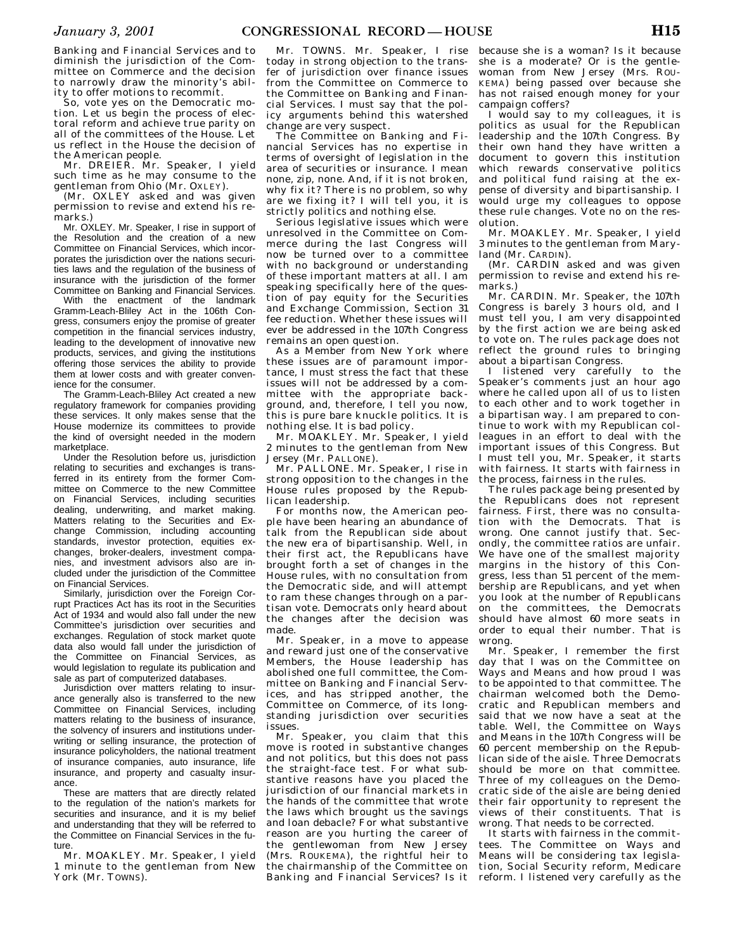Banking and Financial Services and to diminish the jurisdiction of the Committee on Commerce and the decision to narrowly draw the minority's ability to offer motions to recommit.

So, vote yes on the Democratic motion. Let us begin the process of electoral reform and achieve true parity on all of the committees of the House. Let us reflect in the House the decision of the American people.

Mr. DREIER. Mr. Speaker, I yield such time as he may consume to the gentleman from Ohio (Mr. OXLEY).

(Mr. OXLEY asked and was given permission to revise and extend his remarks.)

Mr. OXLEY. Mr. Speaker, I rise in support of the Resolution and the creation of a new Committee on Financial Services, which incorporates the jurisdiction over the nations securities laws and the regulation of the business of insurance with the jurisdiction of the former Committee on Banking and Financial Services.

With the enactment of the landmark Gramm-Leach-Bliley Act in the 106th Congress, consumers enjoy the promise of greater competition in the financial services industry, leading to the development of innovative new products, services, and giving the institutions offering those services the ability to provide them at lower costs and with greater convenience for the consumer.

The Gramm-Leach-Bliley Act created a new regulatory framework for companies providing these services. It only makes sense that the House modernize its committees to provide the kind of oversight needed in the modern marketplace.

Under the Resolution before us, jurisdiction relating to securities and exchanges is transferred in its entirety from the former Committee on Commerce to the new Committee on Financial Services, including securities dealing, underwriting, and market making. Matters relating to the Securities and Exchange Commission, including accounting standards, investor protection, equities exchanges, broker-dealers, investment companies, and investment advisors also are included under the jurisdiction of the Committee on Financial Services.

Similarly, jurisdiction over the Foreign Corrupt Practices Act has its root in the Securities Act of 1934 and would also fall under the new Committee's jurisdiction over securities and exchanges. Regulation of stock market quote data also would fall under the jurisdiction of the Committee on Financial Services, as would legislation to regulate its publication and sale as part of computerized databases.

Jurisdiction over matters relating to insurance generally also is transferred to the new Committee on Financial Services, including matters relating to the business of insurance, the solvency of insurers and institutions underwriting or selling insurance, the protection of insurance policyholders, the national treatment of insurance companies, auto insurance, life insurance, and property and casualty insurance.

These are matters that are directly related to the regulation of the nation's markets for securities and insurance, and it is my belief and understanding that they will be referred to the Committee on Financial Services in the future.

Mr. MOAKLEY. Mr. Speaker, I yield 1 minute to the gentleman from New York (Mr. TOWNS).

Mr. TOWNS. Mr. Speaker, I rise today in strong objection to the transfer of jurisdiction over finance issues from the Committee on Commerce to the Committee on Banking and Financial Services. I must say that the policy arguments behind this watershed change are very suspect.

The Committee on Banking and Financial Services has no expertise in terms of oversight of legislation in the area of securities or insurance. I mean none, zip, none. And, if it is not broken, why fix it? There is no problem, so why are we fixing it? I will tell you, it is strictly politics and nothing else.

Serious legislative issues which were unresolved in the Committee on Commerce during the last Congress will now be turned over to a committee with no background or understanding of these important matters at all. I am speaking specifically here of the question of pay equity for the Securities and Exchange Commission, Section 31 fee reduction. Whether these issues will ever be addressed in the 107th Congress remains an open question.

As a Member from New York where these issues are of paramount importance, I must stress the fact that these issues will not be addressed by a committee with the appropriate background, and, therefore, I tell you now, this is pure bare knuckle politics. It is nothing else. It is bad policy.

Mr. MOAKLEY. Mr. Speaker, I yield 2 minutes to the gentleman from New Jersey (Mr. PALLONE).

Mr. PALLONE. Mr. Speaker, I rise in strong opposition to the changes in the House rules proposed by the Republican leadership.

For months now, the American people have been hearing an abundance of talk from the Republican side about the new era of bipartisanship. Well, in their first act, the Republicans have brought forth a set of changes in the House rules, with no consultation from the Democratic side, and will attempt to ram these changes through on a partisan vote. Democrats only heard about the changes after the decision was made.

Mr. Speaker, in a move to appease and reward just one of the conservative Members, the House leadership has abolished one full committee, the Committee on Banking and Financial Services, and has stripped another, the Committee on Commerce, of its longstanding jurisdiction over securities issues.

Mr. Speaker, you claim that this move is rooted in substantive changes and not politics, but this does not pass the straight-face test. For what substantive reasons have you placed the jurisdiction of our financial markets in the hands of the committee that wrote the laws which brought us the savings and loan debacle? For what substantive reason are you hurting the career of the gentlewoman from New Jersey (Mrs. ROUKEMA), the rightful heir to the chairmanship of the Committee on Banking and Financial Services? Is it

because she is a woman? Is it because she is a moderate? Or is the gentlewoman from New Jersey (Mrs. ROU-KEMA) being passed over because she has not raised enough money for your campaign coffers?

I would say to my colleagues, it is politics as usual for the Republican leadership and the 107th Congress. By their own hand they have written a document to govern this institution which rewards conservative politics and political fund raising at the expense of diversity and bipartisanship. I would urge my colleagues to oppose these rule changes. Vote no on the resolution.

Mr. MOAKLEY. Mr. Speaker, I yield 3 minutes to the gentleman from Maryland (Mr. CARDIN).

(Mr. CARDIN asked and was given permission to revise and extend his remarks.)

Mr. CARDIN. Mr. Speaker, the 107th Congress is barely 3 hours old, and I must tell you, I am very disappointed by the first action we are being asked to vote on. The rules package does not reflect the ground rules to bringing about a bipartisan Congress.

I listened very carefully to the Speaker's comments just an hour ago where he called upon all of us to listen to each other and to work together in a bipartisan way. I am prepared to continue to work with my Republican colleagues in an effort to deal with the important issues of this Congress. But I must tell you, Mr. Speaker, it starts with fairness. It starts with fairness in the process, fairness in the rules.

The rules package being presented by the Republicans does not represent fairness. First, there was no consultation with the Democrats. That is wrong. One cannot justify that. Secondly, the committee ratios are unfair. We have one of the smallest majority margins in the history of this Congress, less than 51 percent of the membership are Republicans, and yet when you look at the number of Republicans on the committees, the Democrats should have almost 60 more seats in order to equal their number. That is wrong.

Mr. Speaker, I remember the first day that I was on the Committee on Ways and Means and how proud I was to be appointed to that committee. The chairman welcomed both the Democratic and Republican members and said that we now have a seat at the table. Well, the Committee on Ways and Means in the 107th Congress will be 60 percent membership on the Republican side of the aisle. Three Democrats should be more on that committee. Three of my colleagues on the Democratic side of the aisle are being denied their fair opportunity to represent the views of their constituents. That is wrong. That needs to be corrected.

It starts with fairness in the committees. The Committee on Ways and Means will be considering tax legislation, Social Security reform, Medicare reform. I listened very carefully as the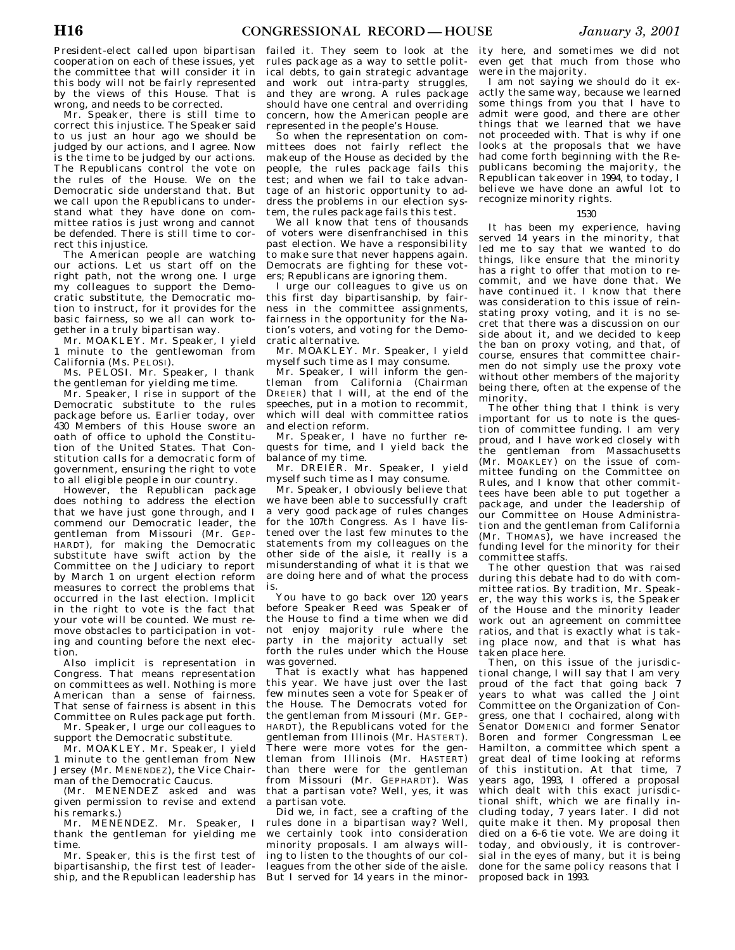President-elect called upon bipartisan cooperation on each of these issues, yet the committee that will consider it in this body will not be fairly represented by the views of this House. That is wrong, and needs to be corrected.

Mr. Speaker, there is still time to correct this injustice. The Speaker said to us just an hour ago we should be judged by our actions, and I agree. Now is the time to be judged by our actions. The Republicans control the vote on the rules of the House. We on the Democratic side understand that. But we call upon the Republicans to understand what they have done on committee ratios is just wrong and cannot be defended. There is still time to correct this injustice.

The American people are watching our actions. Let us start off on the right path, not the wrong one. I urge my colleagues to support the Democratic substitute, the Democratic motion to instruct, for it provides for the basic fairness, so we all can work together in a truly bipartisan way.

Mr. MOAKLEY. Mr. Speaker, I yield 1 minute to the gentlewoman from California (Ms. PELOSI).

Ms. PELOSI. Mr. Speaker, I thank the gentleman for yielding me time.

Mr. Speaker, I rise in support of the Democratic substitute to the rules package before us. Earlier today, over 430 Members of this House swore an oath of office to uphold the Constitution of the United States. That Constitution calls for a democratic form of government, ensuring the right to vote to all eligible people in our country.

However, the Republican package does nothing to address the election that we have just gone through, and I commend our Democratic leader, the gentleman from Missouri (Mr. GEP-HARDT), for making the Democratic substitute have swift action by the Committee on the Judiciary to report by March 1 on urgent election reform measures to correct the problems that occurred in the last election. Implicit in the right to vote is the fact that your vote will be counted. We must remove obstacles to participation in voting and counting before the next election.

Also implicit is representation in Congress. That means representation on committees as well. Nothing is more American than a sense of fairness. That sense of fairness is absent in this Committee on Rules package put forth.

Mr. Speaker, I urge our colleagues to support the Democratic substitute.

Mr. MOAKLEY. Mr. Speaker, I yield 1 minute to the gentleman from New Jersey (Mr. MENENDEZ), the Vice Chairman of the Democratic Caucus.

(Mr. MENENDEZ asked and was given permission to revise and extend his remarks.)

Mr. MENENDEZ. Mr. Speaker, I thank the gentleman for yielding me time.

Mr. Speaker, this is the first test of bipartisanship, the first test of leadership, and the Republican leadership has

failed it. They seem to look at the rules package as a way to settle political debts, to gain strategic advantage and work out intra-party struggles, and they are wrong. A rules package should have one central and overriding concern, how the American people are represented in the people's House.

So when the representation on committees does not fairly reflect the makeup of the House as decided by the people, the rules package fails this test; and when we fail to take advantage of an historic opportunity to address the problems in our election system, the rules package fails this test.

We all know that tens of thousands of voters were disenfranchised in this past election. We have a responsibility to make sure that never happens again. Democrats are fighting for these voters; Republicans are ignoring them.

I urge our colleagues to give us on this first day bipartisanship, by fairness in the committee assignments, fairness in the opportunity for the Nation's voters, and voting for the Democratic alternative.

Mr. MOAKLEY. Mr. Speaker, I yield myself such time as I may consume.

Mr. Speaker, I will inform the gentleman from California (Chairman DREIER) that I will, at the end of the speeches, put in a motion to recommit, which will deal with committee ratios and election reform.

Mr. Speaker, I have no further requests for time, and I yield back the balance of my time.

Mr. DREIER. Mr. Speaker, I yield myself such time as I may consume.

Mr. Speaker, I obviously believe that we have been able to successfully craft a very good package of rules changes for the 107th Congress. As I have listened over the last few minutes to the statements from my colleagues on the other side of the aisle, it really is a misunderstanding of what it is that we are doing here and of what the process is.

You have to go back over 120 years before Speaker Reed was Speaker of the House to find a time when we did not enjoy majority rule where the party in the majority actually set forth the rules under which the House was governed.

That is exactly what has happened this year. We have just over the last few minutes seen a vote for Speaker of the House. The Democrats voted for the gentleman from Missouri (Mr. GEP-HARDT), the Republicans voted for the gentleman from Illinois (Mr. HASTERT). There were more votes for the gentleman from Illinois (Mr. HASTERT) than there were for the gentleman from Missouri (Mr. GEPHARDT). Was that a partisan vote? Well, yes, it was a partisan vote.

Did we, in fact, see a crafting of the rules done in a bipartisan way? Well, we certainly took into consideration minority proposals. I am always willing to listen to the thoughts of our colleagues from the other side of the aisle. But I served for 14 years in the minor-

ity here, and sometimes we did not even get that much from those who were in the majority.

I am not saying we should do it exactly the same way, because we learned some things from you that I have to admit were good, and there are other things that we learned that we have not proceeded with. That is why if one looks at the proposals that we have had come forth beginning with the Republicans becoming the majority, the Republican takeover in 1994, to today, I believe we have done an awful lot to recognize minority rights.

# 1530

It has been my experience, having served 14 years in the minority, that led me to say that we wanted to do things, like ensure that the minority has a right to offer that motion to recommit, and we have done that. We have continued it. I know that there was consideration to this issue of reinstating proxy voting, and it is no secret that there was a discussion on our side about it, and we decided to keep the ban on proxy voting, and that, of course, ensures that committee chairmen do not simply use the proxy vote without other members of the majority being there, often at the expense of the minority.

The other thing that I think is very important for us to note is the question of committee funding. I am very proud, and I have worked closely with the gentleman from Massachusetts (Mr. MOAKLEY) on the issue of committee funding on the Committee on Rules, and I know that other committees have been able to put together a package, and under the leadership of our Committee on House Administration and the gentleman from California (Mr. THOMAS), we have increased the funding level for the minority for their committee staffs.

The other question that was raised during this debate had to do with committee ratios. By tradition, Mr. Speaker, the way this works is, the Speaker of the House and the minority leader work out an agreement on committee ratios, and that is exactly what is taking place now, and that is what has taken place here.

Then, on this issue of the jurisdictional change, I will say that I am very proud of the fact that going back 7 years to what was called the Joint Committee on the Organization of Congress, one that I cochaired, along with Senator DOMENICI and former Senator Boren and former Congressman Lee Hamilton, a committee which spent a great deal of time looking at reforms of this institution. At that time, 7 years ago, 1993, I offered a proposal which dealt with this exact jurisdictional shift, which we are finally including today, 7 years later. I did not quite make it then. My proposal then died on a 6–6 tie vote. We are doing it today, and obviously, it is controversial in the eyes of many, but it is being done for the same policy reasons that I proposed back in 1993.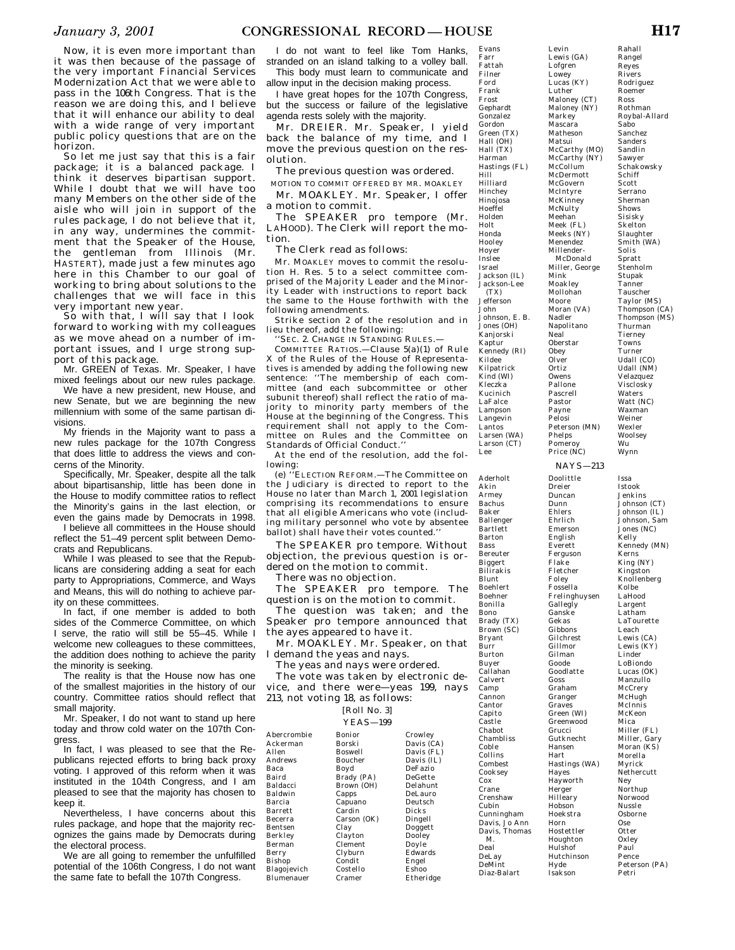Now, it is even more important than it was then because of the passage of the very important Financial Services Modernization Act that we were able to pass in the 106th Congress. That is the reason we are doing this, and I believe that it will enhance our ability to deal with a wide range of very important public policy questions that are on the horizon.

So let me just say that this is a fair package; it is a balanced package. I think it deserves bipartisan support. While I doubt that we will have too many Members on the other side of the aisle who will join in support of the rules package, I do not believe that it, in any way, undermines the commitment that the Speaker of the House, the gentleman from Illinois (Mr. HASTERT), made just a few minutes ago here in this Chamber to our goal of working to bring about solutions to the challenges that we will face in this very important new year.

So with that, I will say that I look forward to working with my colleagues as we move ahead on a number of important issues, and I urge strong support of this package.

Mr. GREEN of Texas. Mr. Speaker, I have mixed feelings about our new rules package.

We have a new president, new House, and new Senate, but we are beginning the new millennium with some of the same partisan divisions.

My friends in the Majority want to pass a new rules package for the 107th Congress that does little to address the views and concerns of the Minority.

Specifically, Mr. Speaker, despite all the talk about bipartisanship, little has been done in the House to modify committee ratios to reflect the Minority's gains in the last election, or even the gains made by Democrats in 1998.

I believe all committees in the House should reflect the 51–49 percent split between Democrats and Republicans.

While I was pleased to see that the Republicans are considering adding a seat for each party to Appropriations, Commerce, and Ways and Means, this will do nothing to achieve parity on these committees.

In fact, if one member is added to both sides of the Commerce Committee, on which I serve, the ratio will still be 55–45. While I welcome new colleagues to these committees, the addition does nothing to achieve the parity the minority is seeking.

The reality is that the House now has one of the smallest majorities in the history of our country. Committee ratios should reflect that small majority.

Mr. Speaker, I do not want to stand up here today and throw cold water on the 107th Congress.

In fact, I was pleased to see that the Republicans rejected efforts to bring back proxy voting. I approved of this reform when it was instituted in the 104th Congress, and I am pleased to see that the majority has chosen to keep it.

Nevertheless, I have concerns about this rules package, and hope that the majority recognizes the gains made by Democrats during the electoral process.

We are all going to remember the unfulfilled potential of the 106th Congress, I do not want the same fate to befall the 107th Congress.

I do not want to feel like Tom Hanks, stranded on an island talking to a volley ball.

This body must learn to communicate and allow input in the decision making process.

I have great hopes for the 107th Congress, but the success or failure of the legislative agenda rests solely with the majority.

Mr. DREIER. Mr. Speaker, I yield back the balance of my time, and I move the previous question on the resolution.

The previous question was ordered.

MOTION TO COMMIT OFFERED BY MR. MOAKLEY Mr. MOAKLEY. Mr. Speaker, I offer

a motion to commit. The SPEAKER pro tempore (Mr.

LAHOOD). The Clerk will report the motion.

The Clerk read as follows:

Mr. MOAKLEY moves to commit the resolution H. Res. 5 to a select committee comprised of the Majority Leader and the Minority Leader with instructions to report back the same to the House forthwith with the following amendments.

Strike section 2 of the resolution and in lieu thereof, add the following:

'SEC. 2. CHANGE IN STANDING RULES.

COMMITTEE RATIOS.—Clause 5(a)(1) of Rule X of the Rules of the House of Representatives is amended by adding the following new sentence: "The membership of each committee (and each subcommittee or other subunit thereof) shall reflect the ratio of majority to minority party members of the House at the beginning of the Congress. This requirement shall not apply to the Committee on Rules and the Committee on Standards of Official Conduct.''

At the end of the resolution, add the following:

(e) ''ELECTION REFORM.—The Committee on the Judiciary is directed to report to the House no later than March 1, 2001 legislation comprising its recommendations to ensure that all eligible Americans who vote (including military personnel who vote by absentee ballot) shall have their votes counted.''

The SPEAKER pro tempore. Without objection, the previous question is ordered on the motion to commit.

There was no objection.

The SPEAKER pro tempore. The question is on the motion to commit.

The question was taken; and the Speaker pro tempore announced that the ayes appeared to have it.

Mr. MOAKLEY. Mr. Speaker, on that I demand the yeas and nays.

The yeas and nays were ordered.

The vote was taken by electronic device, and there were—yeas 199, nays 213, not voting 18, as follows:

#### [Roll No. 3]  $VFAC = 100$

|               | $11.73 - 1.77$ |              |
|---------------|----------------|--------------|
| Abercrombie   | Bonior         | Crowley      |
| Ackerman      | Borski         | Davis (CA)   |
| Allen         | Boswell        | Davis (FL)   |
| Andrews       | Boucher        | Davis (IL)   |
| Baca          | Boyd           | DeFazio      |
| Baird         | Brady (PA)     | DeGette      |
| Baldacci      | Brown (OH)     | Delahunt     |
| Baldwin       | Capps          | DeLauro      |
| Barcia        | Capuano        | Deutsch      |
| Barrett       | Cardin         | <b>Dicks</b> |
| Becerra       | Carson (OK)    | Dingell      |
| Bentsen       | Clay           | Doggett      |
| Berkley       | Clayton        | Dooley       |
| Berman        | Clement        | Doyle        |
| Berry         | Clyburn        | Edwards      |
| <b>Bishop</b> | Condit         | Engel        |
| Blagojevich   | Costello       | Eshoo        |
| Blumenauer    | Cramer         | Etheridge    |
|               |                |              |

Farr Fattah Filner Ford Frank Frost Gephardt Gonzalez Gordon Green (TX) Hall (OH) Hall (TX) Harman Hastings (FL) Hill Hilliard Hinchey Hinojosa Hoeffel Holden Holt Honda Hooley Hoyer Inslee Israel Jackson (IL) Jackson-Lee (TX) Jefferson John Johnson, E. B. Jones (OH) Kanjorski Kaptur Kennedy (RI) Kildee Kilpatrick Kind (WI) Kleczka Kucinich LaFalce Lampson Langevin Lantos<sup>1</sup> Larsen (WA) Larson (CT) Lee Lewis (GA) Lofgren Lowey Lucas (KY) Luther Maloney (CT) Maloney (NY) Markey Mascara Matheson Matsui McCarthy (MO) McCarthy (NY) McCollum McDermott McGovern McIntyre McKinney McNulty Meehan Meek (FL) Meeks (NY) Menendez Millender-Miller, George Mink Moakley Mollohan Moore Moran (VA) Nadler Napolitano Neal Oberstar Obey Olver Ortiz Owens Pallone Pascrell Pastor Payne Pelosi Peterson (MN) Phelps Pomeroy Price (NC)

Evans

Levin

Rahall Rangel Reyes Rivers Rodriguez Roemer Ross Rothman Roybal-Allard Sabo Sanchez Sanders Sandlin Sawyer Schakowsky Schiff Scott Serrano Sherman Shows Sisisky **Skelton** Slaughter Smith (WA) Solis Spratt Stenholm Stupak Tanner Tauscher Taylor (MS) Thompson (CA) Thompson (MS) Thurman Tierney Towns Turner Udall (CO) Udall (NM) Velazquez Visclosky Waters Watt (NC) Waxman Weiner Wexler Woolsey Wu Wynn

# NAYS—213

McDonald

Aderholt Akin Armey Bachus Baker Ballenger Bartlett Barton Bereuter Biggert Bilirakis Blunt Boehlert Boehner Bonilla Bono Brady (TX) Brown (SC) Bryant Burton Buyer Callahan Calvert Camp Cannon Cantor Capito Castle Chabot Chambliss Coble Collins Combest Cooksey Crane Crenshaw Cubin Cunningham Davis, Jo Ann Davis, Thomas DeLay DeMint Diaz-Balart Doolittle Dreier Duncan Dunn Ehlers Ehrlich Emerson English Everett Ferguson Flake Fletcher Foley Fossella Frelinghuysen **Gallegly** Ganske Gekas Gibbons Gilchrest Gillmor Gilman Goode Goodlatte Goss Graham Granger Graves Green (WI) Greenwood Grucci Gutknecht Hansen **Hart** Hastings (WA) Hayes Hayworth Herger Hilleary **Hobson** Hoekstra Horn Hostettler Houghton Hulshof Hutchinson Hyde Isakson

Bass

Burr

Cox

M. Deal Issa Istook Jenkins Johnson (CT) Johnson (IL) Johnson, Sam Jones (NC) Kelly Kennedy (MN) Kerns King (NY) Kingston Knollenberg Kolbe LaHood Largent Latham LaTourette Leach Lewis (CA) Lewis (KY) Linder LoBiondo Lucas (OK) Manzullo **McCrery** McHugh McInnis McKeon Mica Miller (FL) Miller, Gary Moran (KS) Morella Myrick Nethercutt Ney Northup Norwood Nussle Osborne Ose **Otter** Oxley Paul Pence Peterson (PA)

Petri